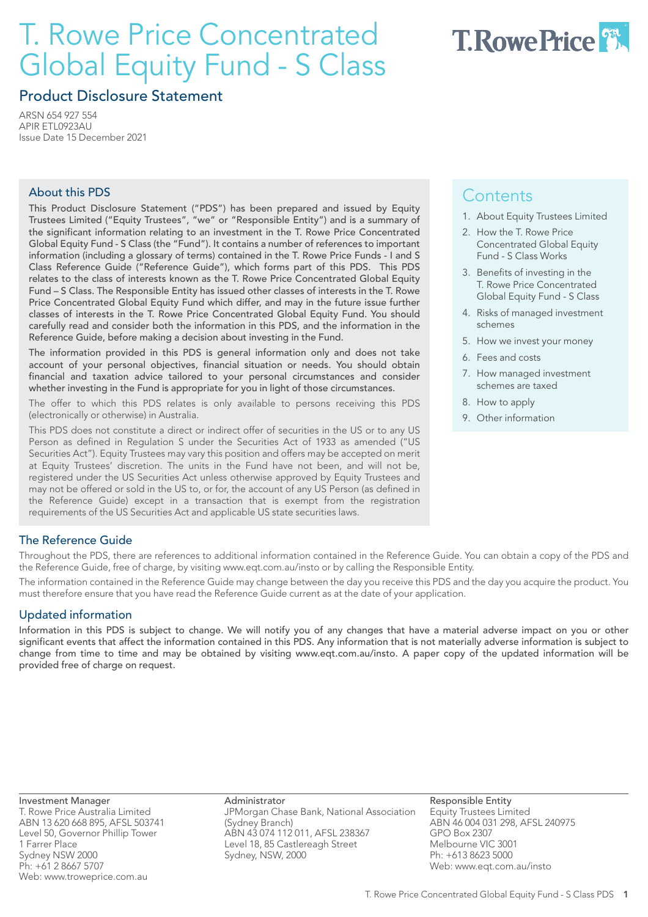# T. Rowe Price Concentrated Global Equity Fund - S Class



# Product Disclosure Statement

ARSN 654 927 554 APIR ETL0923AU Issue Date 15 December 2021

#### About this PDS

This Product Disclosure Statement ("PDS") has been prepared and issued by Equity Trustees Limited ("Equity Trustees", "we" or "Responsible Entity") and is a summary of the significant information relating to an investment in the T. Rowe Price Concentrated Global Equity Fund - S Class (the "Fund"). It contains a number of references to important information (including a glossary of terms) contained in the T. Rowe Price Funds - I and S Class Reference Guide ("Reference Guide"), which forms part of this PDS. This PDS relates to the class of interests known as the T. Rowe Price Concentrated Global Equity Fund – S Class. The Responsible Entity has issued other classes of interests in the T. Rowe Price Concentrated Global Equity Fund which differ, and may in the future issue further classes of interests in the T. Rowe Price Concentrated Global Equity Fund. You should carefully read and consider both the information in this PDS, and the information in the Reference Guide, before making a decision about investing in the Fund.

The information provided in this PDS is general information only and does not take account of your personal objectives, financial situation or needs. You should obtain financial and taxation advice tailored to your personal circumstances and consider whether investing in the Fund is appropriate for you in light of those circumstances.

The offer to which this PDS relates is only available to persons receiving this PDS (electronically or otherwise) in Australia.

This PDS does not constitute a direct or indirect offer of securities in the US or to any US Person as defined in Regulation S under the Securities Act of 1933 as amended ("US Securities Act"). Equity Trustees may vary this position and offers may be accepted on merit at Equity Trustees' discretion. The units in the Fund have not been, and will not be, registered under the US Securities Act unless otherwise approved by Equity Trustees and may not be offered or sold in the US to, or for, the account of any US Person (as defined in the Reference Guide) except in a transaction that is exempt from the registration requirements of the US Securities Act and applicable US state securities laws.

# **Contents**

- 1. About Equity Trustees Limited
- 2. How the T. Rowe Price Concentrated Global Equity Fund - S Class Works
- 3. Benefits of investing in the T. Rowe Price Concentrated Global Equity Fund - S Class
- 4. Risks of managed investment schemes
- 5. How we invest your money
- 6. Fees and costs
- 7. How managed investment schemes are taxed
- 8. How to apply
- 9. Other information

### The Reference Guide

Throughout the PDS, there are references to additional information contained in the Reference Guide. You can obtain a copy of the PDS and the Reference Guide, free of charge, by visiting www.eqt.com.au/insto or by calling the Responsible Entity.

The information contained in the Reference Guide may change between the day you receive this PDS and the day you acquire the product. You must therefore ensure that you have read the Reference Guide current as at the date of your application.

### Updated information

Information in this PDS is subject to change. We will notify you of any changes that have a material adverse impact on you or other significant events that affect the information contained in this PDS. Any information that is not materially adverse information is subject to change from time to time and may be obtained by visiting www.eqt.com.au/insto. A paper copy of the updated information will be provided free of charge on request.

Investment Manager T. Rowe Price Australia Limited ABN 13 620 668 895, AFSL 503741 Level 50, Governor Phillip Tower 1 Farrer Place Sydney NSW 2000 Ph: +61 2 8667 5707 Web: www.troweprice.com.au

Administrator JPMorgan Chase Bank, National Association (Sydney Branch) ABN 43 074 112 011, AFSL 238367 Level 18, 85 Castlereagh Street Sydney, NSW, 2000

Responsible Entity Equity Trustees Limited ABN 46 004 031 298, AFSL 240975 GPO Box 2307 Melbourne VIC 3001 Ph: +613 8623 5000 Web: www.eqt.com.au/insto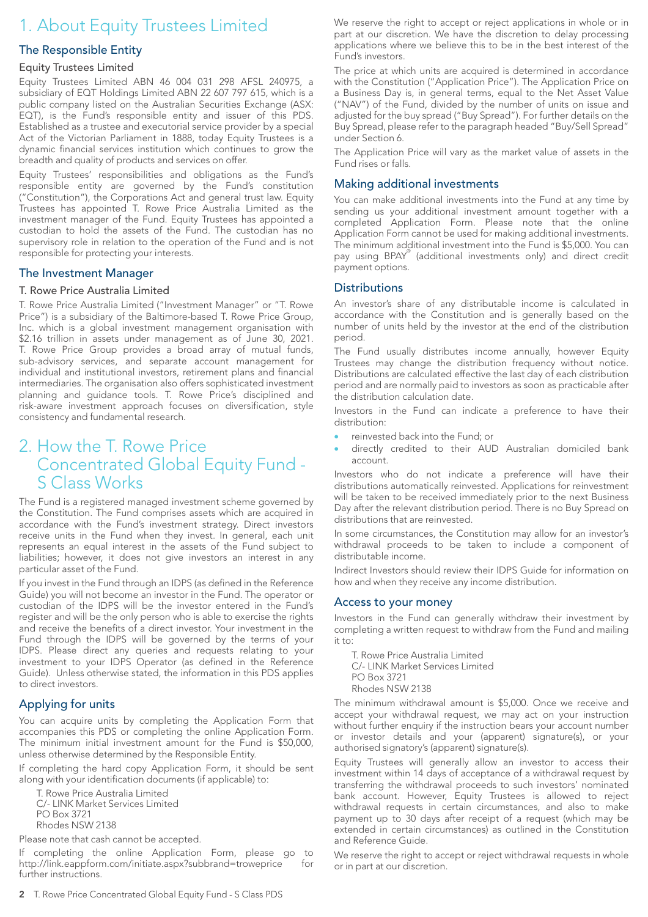# 1. About Equity Trustees Limited

#### The Responsible Entity

#### Equity Trustees Limited

Equity Trustees Limited ABN 46 004 031 298 AFSL 240975, a subsidiary of EQT Holdings Limited ABN 22 607 797 615, which is a public company listed on the Australian Securities Exchange (ASX: EQT), is the Fund's responsible entity and issuer of this PDS. Established as a trustee and executorial service provider by a special Act of the Victorian Parliament in 1888, today Equity Trustees is a dynamic financial services institution which continues to grow the breadth and quality of products and services on offer.

Equity Trustees' responsibilities and obligations as the Fund's responsible entity are governed by the Fund's constitution ("Constitution"), the Corporations Act and general trust law. Equity Trustees has appointed T. Rowe Price Australia Limited as the investment manager of the Fund. Equity Trustees has appointed a custodian to hold the assets of the Fund. The custodian has no supervisory role in relation to the operation of the Fund and is not responsible for protecting your interests.

#### The Investment Manager

#### T. Rowe Price Australia Limited

T. Rowe Price Australia Limited ("Investment Manager" or "T. Rowe Price") is a subsidiary of the Baltimore-based T. Rowe Price Group, Inc. which is a global investment management organisation with \$2.16 trillion in assets under management as of June 30, 2021. T. Rowe Price Group provides a broad array of mutual funds, sub-advisory services, and separate account management for individual and institutional investors, retirement plans and financial intermediaries. The organisation also offers sophisticated investment planning and guidance tools. T. Rowe Price's disciplined and risk-aware investment approach focuses on diversification, style consistency and fundamental research.

# 2. How the T. Rowe Price Concentrated Global Equity Fund - S Class Works

The Fund is a registered managed investment scheme governed by the Constitution. The Fund comprises assets which are acquired in accordance with the Fund's investment strategy. Direct investors receive units in the Fund when they invest. In general, each unit represents an equal interest in the assets of the Fund subject to liabilities; however, it does not give investors an interest in any particular asset of the Fund.

If you invest in the Fund through an IDPS (as defined in the Reference Guide) you will not become an investor in the Fund. The operator or custodian of the IDPS will be the investor entered in the Fund's register and will be the only person who is able to exercise the rights and receive the benefits of a direct investor. Your investment in the Fund through the IDPS will be governed by the terms of your IDPS. Please direct any queries and requests relating to your investment to your IDPS Operator (as defined in the Reference Guide). Unless otherwise stated, the information in this PDS applies to direct investors.

#### Applying for units

You can acquire units by completing the Application Form that accompanies this PDS or completing the online Application Form. The minimum initial investment amount for the Fund is \$50,000, unless otherwise determined by the Responsible Entity.

If completing the hard copy Application Form, it should be sent along with your identification documents (if applicable) to:

T. Rowe Price Australia Limited C/- LINK Market Services Limited PO Box 3721 Rhodes NSW 2138

Please note that cash cannot be accepted.

If completing the online Application Form, please go to http://link.eappform.com/initiate.aspx?subbrand=troweprice for further instructions.

We reserve the right to accept or reject applications in whole or in part at our discretion. We have the discretion to delay processing applications where we believe this to be in the best interest of the Fund's investors.

The price at which units are acquired is determined in accordance with the Constitution ("Application Price"). The Application Price on a Business Day is, in general terms, equal to the Net Asset Value ("NAV") of the Fund, divided by the number of units on issue and adjusted for the buy spread ("Buy Spread"). For further details on the Buy Spread, please refer to the paragraph headed "Buy/Sell Spread" under Section 6.

The Application Price will vary as the market value of assets in the Fund rises or falls.

#### Making additional investments

You can make additional investments into the Fund at any time by sending us your additional investment amount together with a completed Application Form. Please note that the online Application Form cannot be used for making additional investments. The minimum additional investment into the Fund is \$5,000. You can pay using BPAY<sup>®</sup> (additional investments only) and direct credit payment options.

#### **Distributions**

An investor's share of any distributable income is calculated in accordance with the Constitution and is generally based on the number of units held by the investor at the end of the distribution period.

The Fund usually distributes income annually, however Equity Trustees may change the distribution frequency without notice. Distributions are calculated effective the last day of each distribution period and are normally paid to investors as soon as practicable after the distribution calculation date.

Investors in the Fund can indicate a preference to have their distribution:

- reinvested back into the Fund; or
- directly credited to their AUD Australian domiciled bank account.

Investors who do not indicate a preference will have their distributions automatically reinvested. Applications for reinvestment will be taken to be received immediately prior to the next Business Day after the relevant distribution period. There is no Buy Spread on distributions that are reinvested.

In some circumstances, the Constitution may allow for an investor's withdrawal proceeds to be taken to include a component of distributable income.

Indirect Investors should review their IDPS Guide for information on how and when they receive any income distribution.

#### Access to your money

Investors in the Fund can generally withdraw their investment by completing a written request to withdraw from the Fund and mailing it to:

T. Rowe Price Australia Limited C/- LINK Market Services Limited PO Box 3721 Rhodes NSW 2138

The minimum withdrawal amount is \$5,000. Once we receive and accept your withdrawal request, we may act on your instruction without further enquiry if the instruction bears your account number or investor details and your (apparent) signature(s), or your authorised signatory's (apparent) signature(s).

Equity Trustees will generally allow an investor to access their investment within 14 days of acceptance of a withdrawal request by transferring the withdrawal proceeds to such investors' nominated bank account. However, Equity Trustees is allowed to reject withdrawal requests in certain circumstances, and also to make payment up to 30 days after receipt of a request (which may be extended in certain circumstances) as outlined in the Constitution and Reference Guide.

We reserve the right to accept or reject withdrawal requests in whole or in part at our discretion.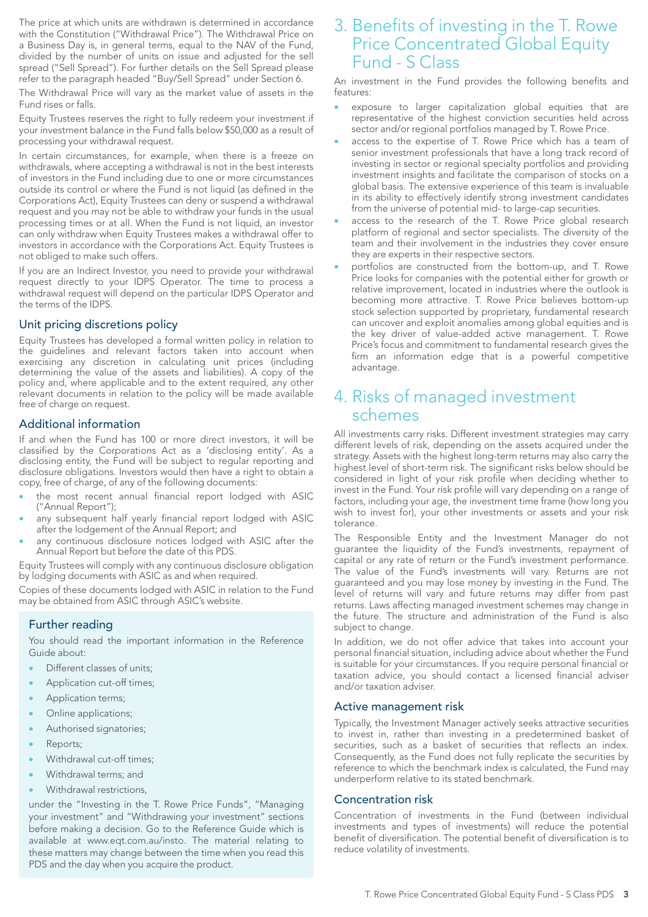The price at which units are withdrawn is determined in accordance with the Constitution ("Withdrawal Price"). The Withdrawal Price on a Business Day is, in general terms, equal to the NAV of the Fund, divided by the number of units on issue and adjusted for the sell spread ("Sell Spread"). For further details on the Sell Spread please refer to the paragraph headed "Buy/Sell Spread" under Section 6.

The Withdrawal Price will vary as the market value of assets in the Fund rises or falls.

Equity Trustees reserves the right to fully redeem your investment if your investment balance in the Fund falls below \$50,000 as a result of processing your withdrawal request.

In certain circumstances, for example, when there is a freeze on withdrawals, where accepting a withdrawal is not in the best interests of investors in the Fund including due to one or more circumstances outside its control or where the Fund is not liquid (as defined in the Corporations Act), Equity Trustees can deny or suspend a withdrawal request and you may not be able to withdraw your funds in the usual processing times or at all. When the Fund is not liquid, an investor can only withdraw when Equity Trustees makes a withdrawal offer to investors in accordance with the Corporations Act. Equity Trustees is not obliged to make such offers.

If you are an Indirect Investor, you need to provide your withdrawal request directly to your IDPS Operator. The time to process a withdrawal request will depend on the particular IDPS Operator and the terms of the IDPS.

#### Unit pricing discretions policy

Equity Trustees has developed a formal written policy in relation to the guidelines and relevant factors taken into account when exercising any discretion in calculating unit prices (including determining the value of the assets and liabilities). A copy of the policy and, where applicable and to the extent required, any other relevant documents in relation to the policy will be made available free of charge on request.

#### Additional information

If and when the Fund has 100 or more direct investors, it will be classified by the Corporations Act as a 'disclosing entity'. As a disclosing entity, the Fund will be subject to regular reporting and disclosure obligations. Investors would then have a right to obtain a copy, free of charge, of any of the following documents:

- the most recent annual financial report lodged with ASIC ("Annual Report");
- any subsequent half yearly financial report lodged with ASIC after the lodgement of the Annual Report; and
- any continuous disclosure notices lodged with ASIC after the Annual Report but before the date of this PDS.

Equity Trustees will comply with any continuous disclosure obligation by lodging documents with ASIC as and when required.

Copies of these documents lodged with ASIC in relation to the Fund may be obtained from ASIC through ASIC's website.

#### Further reading

You should read the important information in the Reference Guide about:

- Different classes of units;
- Application cut-off times;
- Application terms;
- Online applications;
- Authorised signatories;
- Reports;
- Withdrawal cut-off times;
- Withdrawal terms; and
- Withdrawal restrictions,

under the "Investing in the T. Rowe Price Funds", "Managing your investment" and "Withdrawing your investment" sections before making a decision. Go to the Reference Guide which is available at www.eqt.com.au/insto. The material relating to these matters may change between the time when you read this PDS and the day when you acquire the product.

# 3. Benefits of investing in the T. Rowe Price Concentrated Global Equity Fund - S Class

An investment in the Fund provides the following benefits and features:

- exposure to larger capitalization global equities that are representative of the highest conviction securities held across sector and/or regional portfolios managed by T. Rowe Price.
- access to the expertise of T. Rowe Price which has a team of senior investment professionals that have a long track record of investing in sector or regional specialty portfolios and providing investment insights and facilitate the comparison of stocks on a global basis. The extensive experience of this team is invaluable in its ability to effectively identify strong investment candidates from the universe of potential mid- to large-cap securities.
- access to the research of the T. Rowe Price global research platform of regional and sector specialists. The diversity of the team and their involvement in the industries they cover ensure they are experts in their respective sectors.
- portfolios are constructed from the bottom-up, and T. Rowe Price looks for companies with the potential either for growth or relative improvement, located in industries where the outlook is becoming more attractive. T. Rowe Price believes bottom-up stock selection supported by proprietary, fundamental research can uncover and exploit anomalies among global equities and is the key driver of value-added active management. T. Rowe Price's focus and commitment to fundamental research gives the firm an information edge that is a powerful competitive advantage.

## 4. Risks of managed investment schemes

All investments carry risks. Different investment strategies may carry different levels of risk, depending on the assets acquired under the strategy. Assets with the highest long-term returns may also carry the highest level of short-term risk. The significant risks below should be considered in light of your risk profile when deciding whether to invest in the Fund. Your risk profile will vary depending on a range of factors, including your age, the investment time frame (how long you wish to invest for), your other investments or assets and your risk tolerance.

The Responsible Entity and the Investment Manager do not guarantee the liquidity of the Fund's investments, repayment of capital or any rate of return or the Fund's investment performance. The value of the Fund's investments will vary. Returns are not guaranteed and you may lose money by investing in the Fund. The level of returns will vary and future returns may differ from past returns. Laws affecting managed investment schemes may change in the future. The structure and administration of the Fund is also subject to change.

In addition, we do not offer advice that takes into account your personal financial situation, including advice about whether the Fund is suitable for your circumstances. If you require personal financial or taxation advice, you should contact a licensed financial adviser and/or taxation adviser.

#### Active management risk

Typically, the Investment Manager actively seeks attractive securities to invest in, rather than investing in a predetermined basket of securities, such as a basket of securities that reflects an index. Consequently, as the Fund does not fully replicate the securities by reference to which the benchmark index is calculated, the Fund may underperform relative to its stated benchmark.

#### Concentration risk

Concentration of investments in the Fund (between individual investments and types of investments) will reduce the potential benefit of diversification. The potential benefit of diversification is to reduce volatility of investments.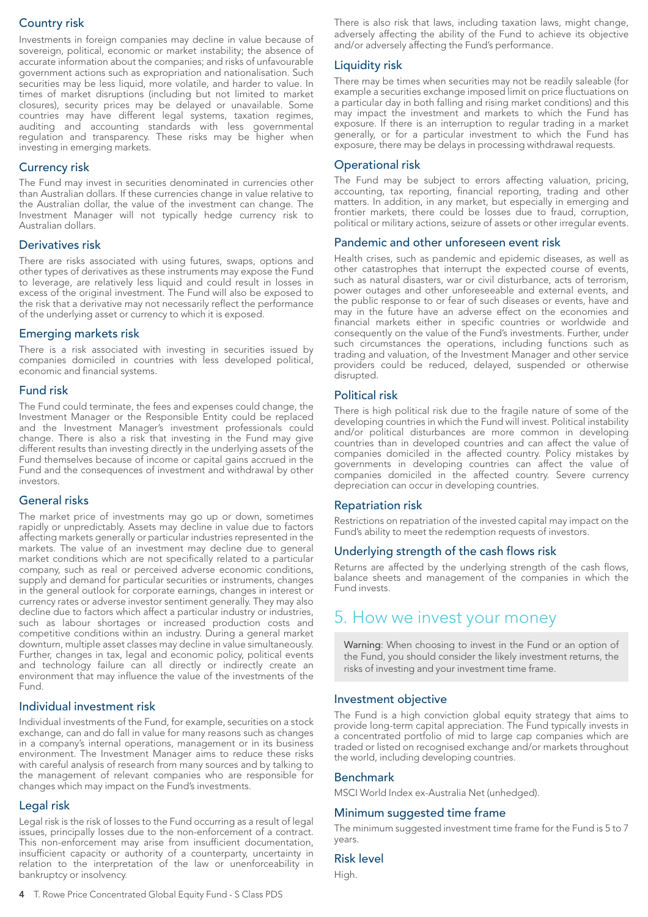### Country risk

Investments in foreign companies may decline in value because of sovereign, political, economic or market instability; the absence of accurate information about the companies; and risks of unfavourable government actions such as expropriation and nationalisation. Such securities may be less liquid, more volatile, and harder to value. In times of market disruptions (including but not limited to market closures), security prices may be delayed or unavailable. Some countries may have different legal systems, taxation regimes, auditing and accounting standards with less governmental regulation and transparency. These risks may be higher when investing in emerging markets.

#### Currency risk

The Fund may invest in securities denominated in currencies other than Australian dollars. If these currencies change in value relative to the Australian dollar, the value of the investment can change. The Investment Manager will not typically hedge currency risk to Australian dollars.

#### Derivatives risk

There are risks associated with using futures, swaps, options and other types of derivatives as these instruments may expose the Fund to leverage, are relatively less liquid and could result in losses in excess of the original investment. The Fund will also be exposed to the risk that a derivative may not necessarily reflect the performance of the underlying asset or currency to which it is exposed.

#### Emerging markets risk

There is a risk associated with investing in securities issued by companies domiciled in countries with less developed political, economic and financial systems.

#### Fund risk

The Fund could terminate, the fees and expenses could change, the Investment Manager or the Responsible Entity could be replaced and the Investment Manager's investment professionals could change. There is also a risk that investing in the Fund may give different results than investing directly in the underlying assets of the Fund themselves because of income or capital gains accrued in the Fund and the consequences of investment and withdrawal by other investors.

#### General risks

The market price of investments may go up or down, sometimes rapidly or unpredictably. Assets may decline in value due to factors affecting markets generally or particular industries represented in the markets. The value of an investment may decline due to general market conditions which are not specifically related to a particular company, such as real or perceived adverse economic conditions, supply and demand for particular securities or instruments, changes in the general outlook for corporate earnings, changes in interest or currency rates or adverse investor sentiment generally. They may also decline due to factors which affect a particular industry or industries, such as labour shortages or increased production costs and competitive conditions within an industry. During a general market downturn, multiple asset classes may decline in value simultaneously. Further, changes in tax, legal and economic policy, political events and technology failure can all directly or indirectly create an environment that may influence the value of the investments of the Fund.

#### Individual investment risk

Individual investments of the Fund, for example, securities on a stock exchange, can and do fall in value for many reasons such as changes in a company's internal operations, management or in its business environment. The Investment Manager aims to reduce these risks with careful analysis of research from many sources and by talking to the management of relevant companies who are responsible for changes which may impact on the Fund's investments.

#### Legal risk

Legal risk is the risk of losses to the Fund occurring as a result of legal issues, principally losses due to the non-enforcement of a contract. This non-enforcement may arise from insufficient documentation, insufficient capacity or authority of a counterparty, uncertainty in relation to the interpretation of the law or unenforceability in bankruptcy or insolvency.

There is also risk that laws, including taxation laws, might change, adversely affecting the ability of the Fund to achieve its objective and/or adversely affecting the Fund's performance.

#### Liquidity risk

There may be times when securities may not be readily saleable (for example a securities exchange imposed limit on price fluctuations on a particular day in both falling and rising market conditions) and this may impact the investment and markets to which the Fund has exposure. If there is an interruption to regular trading in a market generally, or for a particular investment to which the Fund has exposure, there may be delays in processing withdrawal requests.

#### Operational risk

The Fund may be subject to errors affecting valuation, pricing, accounting, tax reporting, financial reporting, trading and other matters. In addition, in any market, but especially in emerging and frontier markets, there could be losses due to fraud, corruption, political or military actions, seizure of assets or other irregular events.

#### Pandemic and other unforeseen event risk

Health crises, such as pandemic and epidemic diseases, as well as other catastrophes that interrupt the expected course of events, such as natural disasters, war or civil disturbance, acts of terrorism, power outages and other unforeseeable and external events, and the public response to or fear of such diseases or events, have and may in the future have an adverse effect on the economies and financial markets either in specific countries or worldwide and consequently on the value of the Fund's investments. Further, under such circumstances the operations, including functions such as trading and valuation, of the Investment Manager and other service providers could be reduced, delayed, suspended or otherwise disrupted.

#### Political risk

There is high political risk due to the fragile nature of some of the developing countries in which the Fund will invest. Political instability and/or political disturbances are more common in developing countries than in developed countries and can affect the value of companies domiciled in the affected country. Policy mistakes by governments in developing countries can affect the value of companies domiciled in the affected country. Severe currency depreciation can occur in developing countries.

#### Repatriation risk

Restrictions on repatriation of the invested capital may impact on the Fund's ability to meet the redemption requests of investors.

#### Underlying strength of the cash flows risk

Returns are affected by the underlying strength of the cash flows, balance sheets and management of the companies in which the Fund invests.

# 5. How we invest your money

Warning: When choosing to invest in the Fund or an option of the Fund, you should consider the likely investment returns, the risks of investing and your investment time frame.

#### Investment objective

The Fund is a high conviction global equity strategy that aims to provide long-term capital appreciation. The Fund typically invests in a concentrated portfolio of mid to large cap companies which are traded or listed on recognised exchange and/or markets throughout the world, including developing countries.

#### Benchmark

MSCI World Index ex-Australia Net (unhedged).

#### Minimum suggested time frame

The minimum suggested investment time frame for the Fund is 5 to 7 years.

#### Risk level

High.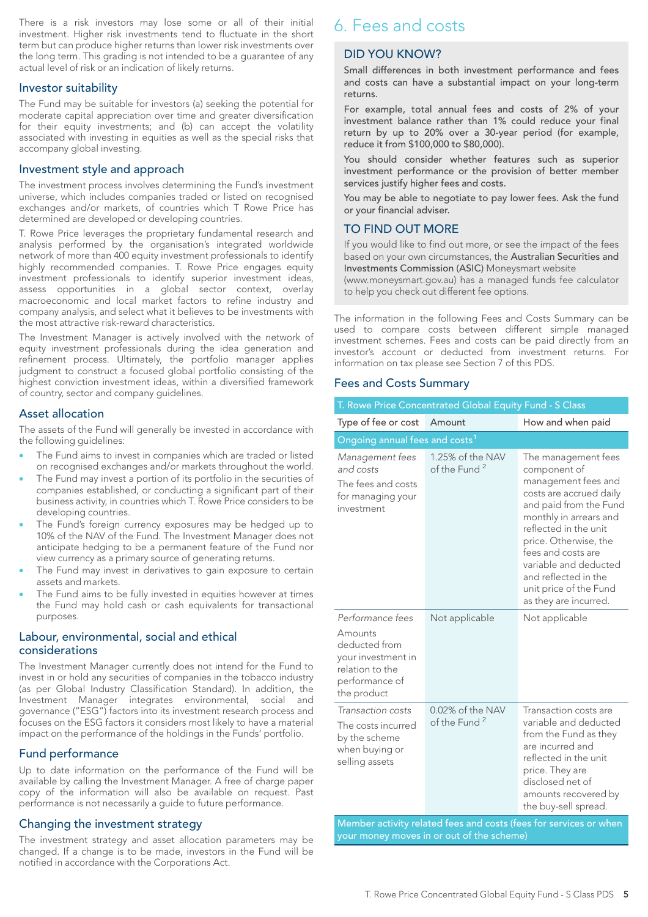There is a risk investors may lose some or all of their initial investment. Higher risk investments tend to fluctuate in the short term but can produce higher returns than lower risk investments over the long term. This grading is not intended to be a guarantee of any actual level of risk or an indication of likely returns.

#### Investor suitability

The Fund may be suitable for investors (a) seeking the potential for moderate capital appreciation over time and greater diversification for their equity investments; and (b) can accept the volatility associated with investing in equities as well as the special risks that accompany global investing.

#### Investment style and approach

The investment process involves determining the Fund's investment universe, which includes companies traded or listed on recognised exchanges and/or markets, of countries which T Rowe Price has determined are developed or developing countries.

T. Rowe Price leverages the proprietary fundamental research and analysis performed by the organisation's integrated worldwide network of more than 400 equity investment professionals to identify highly recommended companies. T. Rowe Price engages equity investment professionals to identify superior investment ideas, assess opportunities in a global sector context, overlay macroeconomic and local market factors to refine industry and company analysis, and select what it believes to be investments with the most attractive risk-reward characteristics.

The Investment Manager is actively involved with the network of equity investment professionals during the idea generation and refinement process. Ultimately, the portfolio manager applies judgment to construct a focused global portfolio consisting of the highest conviction investment ideas, within a diversified framework of country, sector and company guidelines.

#### Asset allocation

The assets of the Fund will generally be invested in accordance with the following guidelines:

- The Fund aims to invest in companies which are traded or listed on recognised exchanges and/or markets throughout the world.
- The Fund may invest a portion of its portfolio in the securities of companies established, or conducting a significant part of their business activity, in countries which T. Rowe Price considers to be developing countries.
- The Fund's foreign currency exposures may be hedged up to 10% of the NAV of the Fund. The Investment Manager does not anticipate hedging to be a permanent feature of the Fund nor view currency as a primary source of generating returns.
- The Fund may invest in derivatives to gain exposure to certain assets and markets.
- The Fund aims to be fully invested in equities however at times the Fund may hold cash or cash equivalents for transactional purposes.

#### Labour, environmental, social and ethical considerations

The Investment Manager currently does not intend for the Fund to invest in or hold any securities of companies in the tobacco industry (as per Global Industry Classification Standard). In addition, the Investment Manager integrates environmental, social and governance ("ESG") factors into its investment research process and focuses on the ESG factors it considers most likely to have a material impact on the performance of the holdings in the Funds' portfolio.

#### Fund performance

Up to date information on the performance of the Fund will be available by calling the Investment Manager. A free of charge paper copy of the information will also be available on request. Past performance is not necessarily a guide to future performance.

#### Changing the investment strategy

The investment strategy and asset allocation parameters may be changed. If a change is to be made, investors in the Fund will be notified in accordance with the Corporations Act.

# 6. Fees and costs

#### DID YOU KNOW?

Small differences in both investment performance and fees and costs can have a substantial impact on your long-term returns.

For example, total annual fees and costs of 2% of your investment balance rather than 1% could reduce your final return by up to 20% over a 30-year period (for example, reduce it from \$100,000 to \$80,000).

You should consider whether features such as superior investment performance or the provision of better member services justify higher fees and costs.

You may be able to negotiate to pay lower fees. Ask the fund or your financial adviser.

#### TO FIND OUT MORE

If you would like to find out more, or see the impact of the fees based on your own circumstances, the Australian Securities and Investments Commission (ASIC) Moneysmart website

(www.moneysmart.gov.au) has a managed funds fee calculator to help you check out different fee options.

The information in the following Fees and Costs Summary can be used to compare costs between different simple managed investment schemes. Fees and costs can be paid directly from an investor's account or deducted from investment returns. For information on tax please see Section 7 of this PDS.

#### Fees and Costs Summary

| T. Rowe Price Concentrated Global Equity Fund - S Class                                                                |                                              |                                                                                                                                                                                                                                                                                                                       |  |  |  |  |  |  |
|------------------------------------------------------------------------------------------------------------------------|----------------------------------------------|-----------------------------------------------------------------------------------------------------------------------------------------------------------------------------------------------------------------------------------------------------------------------------------------------------------------------|--|--|--|--|--|--|
| Type of fee or cost                                                                                                    | Amount                                       | How and when paid                                                                                                                                                                                                                                                                                                     |  |  |  |  |  |  |
| Ongoing annual fees and costs <sup>1</sup>                                                                             |                                              |                                                                                                                                                                                                                                                                                                                       |  |  |  |  |  |  |
| Management fees<br>and costs<br>The fees and costs<br>for managing your<br>investment                                  | 1.25% of the NAV<br>of the Fund <sup>2</sup> | The management fees<br>component of<br>management fees and<br>costs are accrued daily<br>and paid from the Fund<br>monthly in arrears and<br>reflected in the unit<br>price. Otherwise, the<br>fees and costs are<br>variable and deducted<br>and reflected in the<br>unit price of the Fund<br>as they are incurred. |  |  |  |  |  |  |
| Performance fees<br>Amounts<br>deducted from<br>your investment in<br>relation to the<br>performance of<br>the product | Not applicable                               | Not applicable                                                                                                                                                                                                                                                                                                        |  |  |  |  |  |  |
| Transaction costs<br>The costs incurred<br>by the scheme<br>when buying or<br>selling assets                           | 0.02% of the NAV<br>of the Fund <sup>2</sup> | Transaction costs are<br>variable and deducted<br>from the Fund as they<br>are incurred and<br>reflected in the unit<br>price. They are<br>disclosed net of<br>amounts recovered by<br>the buy-sell spread.                                                                                                           |  |  |  |  |  |  |
|                                                                                                                        |                                              | Member activity related fees and costs (fees for services or when                                                                                                                                                                                                                                                     |  |  |  |  |  |  |

Member activity related fees and costs (fees for services or when your money moves in or out of the scheme)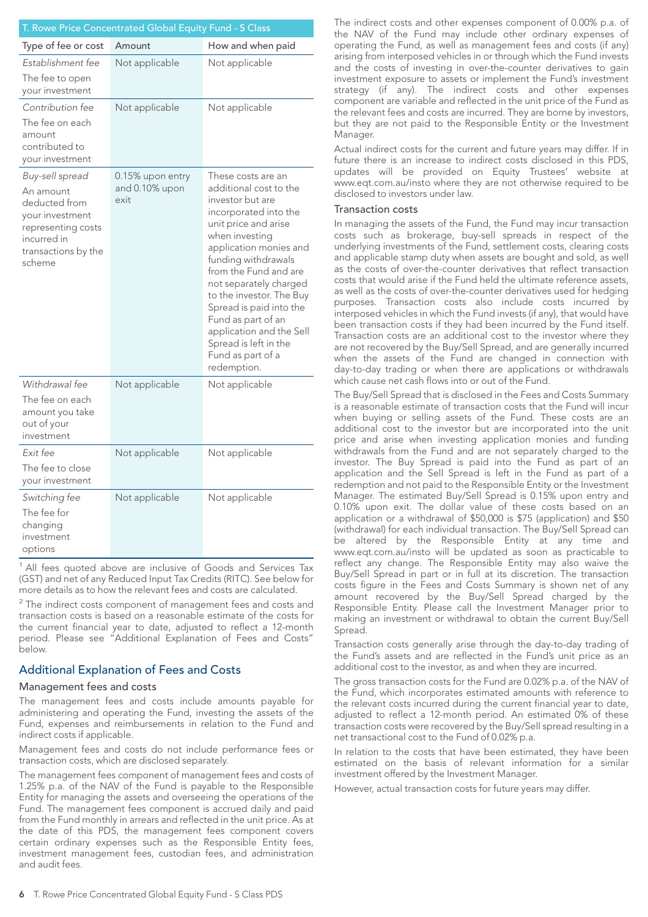| T. Rowe Price Concentrated Global Equity Fund - S Class                                                                                |                                            |                                                                                                                                                                                                                                                                                                                                                                                                               |  |  |  |  |  |
|----------------------------------------------------------------------------------------------------------------------------------------|--------------------------------------------|---------------------------------------------------------------------------------------------------------------------------------------------------------------------------------------------------------------------------------------------------------------------------------------------------------------------------------------------------------------------------------------------------------------|--|--|--|--|--|
| Type of fee or cost                                                                                                                    | Amount                                     | How and when paid                                                                                                                                                                                                                                                                                                                                                                                             |  |  |  |  |  |
| Establishment fee<br>The fee to open<br>your investment                                                                                | Not applicable                             | Not applicable                                                                                                                                                                                                                                                                                                                                                                                                |  |  |  |  |  |
| Contribution fee<br>The fee on each<br>amount<br>contributed to<br>your investment                                                     | Not applicable                             | Not applicable                                                                                                                                                                                                                                                                                                                                                                                                |  |  |  |  |  |
| Buy-sell spread<br>An amount<br>deducted from<br>your investment<br>representing costs<br>incurred in<br>transactions by the<br>scheme | 0.15% upon entry<br>and 0.10% upon<br>exit | These costs are an<br>additional cost to the<br>investor but are<br>incorporated into the<br>unit price and arise<br>when investing<br>application monies and<br>funding withdrawals<br>from the Fund and are<br>not separately charged<br>to the investor. The Buy<br>Spread is paid into the<br>Fund as part of an<br>application and the Sell<br>Spread is left in the<br>Fund as part of a<br>redemption. |  |  |  |  |  |
| Withdrawal fee<br>The fee on each<br>amount you take<br>out of your<br>investment                                                      | Not applicable                             | Not applicable                                                                                                                                                                                                                                                                                                                                                                                                |  |  |  |  |  |
| Exit fee<br>The fee to close<br>your investment                                                                                        | Not applicable                             | Not applicable                                                                                                                                                                                                                                                                                                                                                                                                |  |  |  |  |  |
| Switching fee<br>The fee for<br>changing<br>investment<br>options                                                                      | Not applicable                             | Not applicable                                                                                                                                                                                                                                                                                                                                                                                                |  |  |  |  |  |

<sup>1</sup> All fees quoted above are inclusive of Goods and Services Tax (GST) and net of any Reduced Input Tax Credits (RITC). See below for more details as to how the relevant fees and costs are calculated.

 $2$  The indirect costs component of management fees and costs and transaction costs is based on a reasonable estimate of the costs for the current financial year to date, adjusted to reflect a 12-month period. Please see "Additional Explanation of Fees and Costs" below.

#### Additional Explanation of Fees and Costs

#### Management fees and costs

The management fees and costs include amounts payable for administering and operating the Fund, investing the assets of the Fund, expenses and reimbursements in relation to the Fund and indirect costs if applicable.

Management fees and costs do not include performance fees or transaction costs, which are disclosed separately.

The management fees component of management fees and costs of 1.25% p.a. of the NAV of the Fund is payable to the Responsible Entity for managing the assets and overseeing the operations of the Fund. The management fees component is accrued daily and paid from the Fund monthly in arrears and reflected in the unit price. As at the date of this PDS, the management fees component covers certain ordinary expenses such as the Responsible Entity fees, investment management fees, custodian fees, and administration and audit fees.

The indirect costs and other expenses component of 0.00% p.a. of the NAV of the Fund may include other ordinary expenses of operating the Fund, as well as management fees and costs (if any) arising from interposed vehicles in or through which the Fund invests and the costs of investing in over-the-counter derivatives to gain investment exposure to assets or implement the Fund's investment strategy (if any). The indirect costs and other expenses component are variable and reflected in the unit price of the Fund as the relevant fees and costs are incurred. They are borne by investors, but they are not paid to the Responsible Entity or the Investment Manager.

Actual indirect costs for the current and future years may differ. If in future there is an increase to indirect costs disclosed in this PDS, updates will be provided on Equity Trustees' website at www.eqt.com.au/insto where they are not otherwise required to be disclosed to investors under law.

#### Transaction costs

In managing the assets of the Fund, the Fund may incur transaction costs such as brokerage, buy-sell spreads in respect of the underlying investments of the Fund, settlement costs, clearing costs and applicable stamp duty when assets are bought and sold, as well as the costs of over-the-counter derivatives that reflect transaction costs that would arise if the Fund held the ultimate reference assets, as well as the costs of over-the-counter derivatives used for hedging purposes. Transaction costs also include costs incurred by interposed vehicles in which the Fund invests (if any), that would have been transaction costs if they had been incurred by the Fund itself. Transaction costs are an additional cost to the investor where they are not recovered by the Buy/Sell Spread, and are generally incurred when the assets of the Fund are changed in connection with day-to-day trading or when there are applications or withdrawals which cause net cash flows into or out of the Fund.

The Buy/Sell Spread that is disclosed in the Fees and Costs Summary is a reasonable estimate of transaction costs that the Fund will incur when buying or selling assets of the Fund. These costs are an additional cost to the investor but are incorporated into the unit price and arise when investing application monies and funding withdrawals from the Fund and are not separately charged to the investor. The Buy Spread is paid into the Fund as part of an application and the Sell Spread is left in the Fund as part of a redemption and not paid to the Responsible Entity or the Investment Manager. The estimated Buy/Sell Spread is 0.15% upon entry and 0.10% upon exit. The dollar value of these costs based on an application or a withdrawal of \$50,000 is \$75 (application) and \$50 (withdrawal) for each individual transaction. The Buy/Sell Spread can be altered by the Responsible Entity at any time and www.eqt.com.au/insto will be updated as soon as practicable to reflect any change. The Responsible Entity may also waive the Buy/Sell Spread in part or in full at its discretion. The transaction costs figure in the Fees and Costs Summary is shown net of any amount recovered by the Buy/Sell Spread charged by the Responsible Entity. Please call the Investment Manager prior to making an investment or withdrawal to obtain the current Buy/Sell Spread.

Transaction costs generally arise through the day-to-day trading of the Fund's assets and are reflected in the Fund's unit price as an additional cost to the investor, as and when they are incurred.

The gross transaction costs for the Fund are 0.02% p.a. of the NAV of the Fund, which incorporates estimated amounts with reference to the relevant costs incurred during the current financial year to date, adjusted to reflect a 12-month period. An estimated 0% of these transaction costs were recovered by the Buy/Sell spread resulting in a net transactional cost to the Fund of 0.02% p.a.

In relation to the costs that have been estimated, they have been estimated on the basis of relevant information for a similar investment offered by the Investment Manager.

However, actual transaction costs for future years may differ.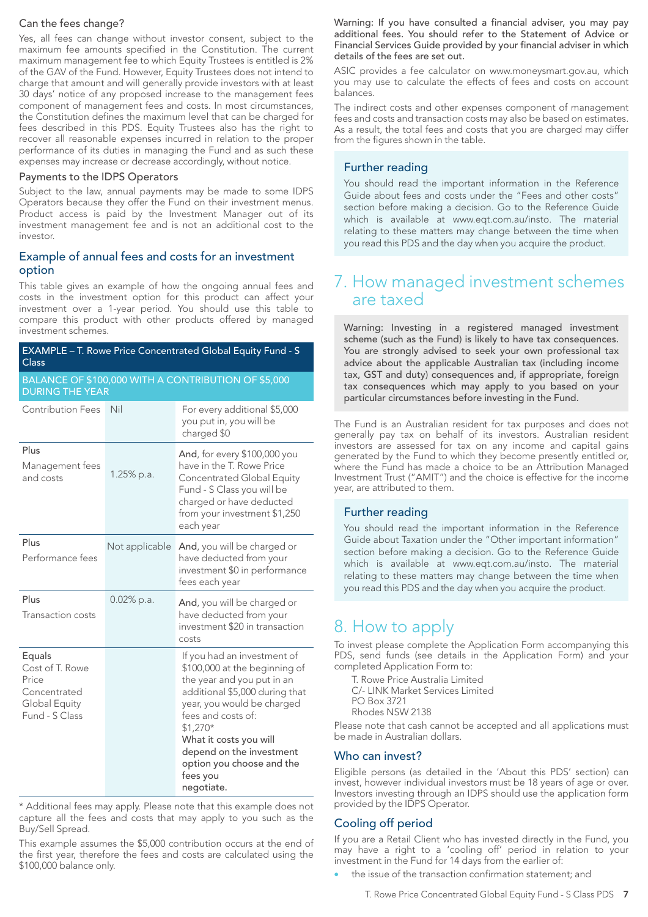#### Can the fees change?

Yes, all fees can change without investor consent, subject to the maximum fee amounts specified in the Constitution. The current maximum management fee to which Equity Trustees is entitled is 2% of the GAV of the Fund. However, Equity Trustees does not intend to charge that amount and will generally provide investors with at least 30 days' notice of any proposed increase to the management fees component of management fees and costs. In most circumstances, the Constitution defines the maximum level that can be charged for fees described in this PDS. Equity Trustees also has the right to recover all reasonable expenses incurred in relation to the proper performance of its duties in managing the Fund and as such these expenses may increase or decrease accordingly, without notice.

#### Payments to the IDPS Operators

Subject to the law, annual payments may be made to some IDPS Operators because they offer the Fund on their investment menus. Product access is paid by the Investment Manager out of its investment management fee and is not an additional cost to the investor.

#### Example of annual fees and costs for an investment option

This table gives an example of how the ongoing annual fees and costs in the investment option for this product can affect your investment over a 1-year period. You should use this table to compare this product with other products offered by managed investment schemes.

| EXAMPLE - T. Rowe Price Concentrated Global Equity Fund - S<br>Class                  |                                                                               |                                                                                                                                                                                                                                                                                                            |  |  |  |  |  |  |
|---------------------------------------------------------------------------------------|-------------------------------------------------------------------------------|------------------------------------------------------------------------------------------------------------------------------------------------------------------------------------------------------------------------------------------------------------------------------------------------------------|--|--|--|--|--|--|
|                                                                                       | BALANCE OF \$100,000 WITH A CONTRIBUTION OF \$5,000<br><b>DURING THE YEAR</b> |                                                                                                                                                                                                                                                                                                            |  |  |  |  |  |  |
| <b>Contribution Fees</b>                                                              | Nil                                                                           | For every additional \$5,000<br>you put in, you will be<br>charged \$0                                                                                                                                                                                                                                     |  |  |  |  |  |  |
| Plus<br>Management fees<br>and costs                                                  | $1.25\%$ p.a.                                                                 | And, for every \$100,000 you<br>have in the T. Rowe Price<br>Concentrated Global Equity<br>Fund - S Class you will be<br>charged or have deducted<br>from your investment \$1,250<br>each year                                                                                                             |  |  |  |  |  |  |
| Plus<br>Performance fees                                                              | Not applicable                                                                | And, you will be charged or<br>have deducted from your<br>investment \$0 in performance<br>fees each year                                                                                                                                                                                                  |  |  |  |  |  |  |
| Plus<br>Transaction costs                                                             | 0.02% p.a.                                                                    | And, you will be charged or<br>have deducted from your<br>investment \$20 in transaction<br>costs                                                                                                                                                                                                          |  |  |  |  |  |  |
| Equals<br>Cost of T. Rowe<br>Price<br>Concentrated<br>Global Equity<br>Fund - S Class |                                                                               | If you had an investment of<br>\$100,000 at the beginning of<br>the year and you put in an<br>additional \$5,000 during that<br>year, you would be charged<br>fees and costs of:<br>$$1,270*$<br>What it costs you will<br>depend on the investment<br>option you choose and the<br>fees you<br>negotiate. |  |  |  |  |  |  |

\* Additional fees may apply. Please note that this example does not capture all the fees and costs that may apply to you such as the Buy/Sell Spread.

This example assumes the \$5,000 contribution occurs at the end of the first year, therefore the fees and costs are calculated using the \$100,000 balance only.

Warning: If you have consulted a financial adviser, you may pay additional fees. You should refer to the Statement of Advice or Financial Services Guide provided by your financial adviser in which details of the fees are set out.

ASIC provides a fee calculator on www.moneysmart.gov.au, which you may use to calculate the effects of fees and costs on account balances.

The indirect costs and other expenses component of management fees and costs and transaction costs may also be based on estimates. As a result, the total fees and costs that you are charged may differ from the figures shown in the table.

#### Further reading

You should read the important information in the Reference Guide about fees and costs under the "Fees and other costs" section before making a decision. Go to the Reference Guide which is available at www.eqt.com.au/insto. The material relating to these matters may change between the time when you read this PDS and the day when you acquire the product.

# 7. How managed investment schemes are taxed

Warning: Investing in a registered managed investment scheme (such as the Fund) is likely to have tax consequences. You are strongly advised to seek your own professional tax advice about the applicable Australian tax (including income tax, GST and duty) consequences and, if appropriate, foreign tax consequences which may apply to you based on your particular circumstances before investing in the Fund.

The Fund is an Australian resident for tax purposes and does not generally pay tax on behalf of its investors. Australian resident investors are assessed for tax on any income and capital gains generated by the Fund to which they become presently entitled or, where the Fund has made a choice to be an Attribution Managed Investment Trust ("AMIT") and the choice is effective for the income year, are attributed to them.

#### Further reading

You should read the important information in the Reference Guide about Taxation under the "Other important information" section before making a decision. Go to the Reference Guide which is available at www.eqt.com.au/insto. The material relating to these matters may change between the time when you read this PDS and the day when you acquire the product.

# 8. How to apply

To invest please complete the Application Form accompanying this PDS, send funds (see details in the Application Form) and your completed Application Form to:

T. Rowe Price Australia Limited C/- LINK Market Services Limited PO Box 3721 Rhodes NSW 2138

Please note that cash cannot be accepted and all applications must be made in Australian dollars.

#### Who can invest?

Eligible persons (as detailed in the 'About this PDS' section) can invest, however individual investors must be 18 years of age or over. Investors investing through an IDPS should use the application form provided by the IDPS Operator.

#### Cooling off period

If you are a Retail Client who has invested directly in the Fund, you may have a right to a 'cooling off' period in relation to your investment in the Fund for 14 days from the earlier of:

the issue of the transaction confirmation statement; and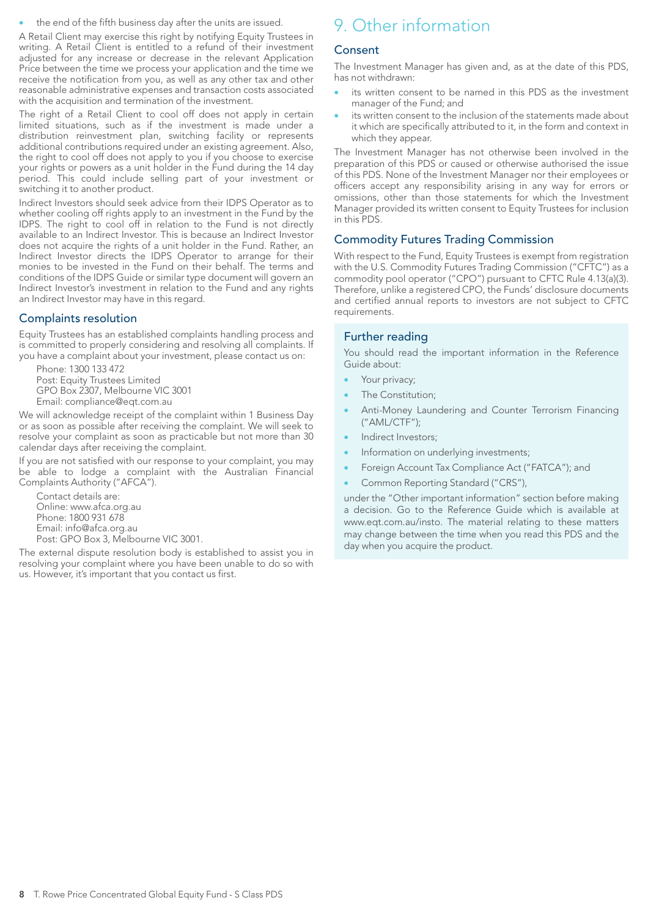the end of the fifth business day after the units are issued.

A Retail Client may exercise this right by notifying Equity Trustees in writing. A Retail Client is entitled to a refund of their investment adjusted for any increase or decrease in the relevant Application Price between the time we process your application and the time we receive the notification from you, as well as any other tax and other reasonable administrative expenses and transaction costs associated with the acquisition and termination of the investment.

The right of a Retail Client to cool off does not apply in certain limited situations, such as if the investment is made under a distribution reinvestment plan, switching facility or represents additional contributions required under an existing agreement. Also, the right to cool off does not apply to you if you choose to exercise your rights or powers as a unit holder in the Fund during the 14 day period. This could include selling part of your investment or switching it to another product.

Indirect Investors should seek advice from their IDPS Operator as to whether cooling off rights apply to an investment in the Fund by the IDPS. The right to cool off in relation to the Fund is not directly available to an Indirect Investor. This is because an Indirect Investor does not acquire the rights of a unit holder in the Fund. Rather, an Indirect Investor directs the IDPS Operator to arrange for their monies to be invested in the Fund on their behalf. The terms and conditions of the IDPS Guide or similar type document will govern an Indirect Investor's investment in relation to the Fund and any rights an Indirect Investor may have in this regard.

#### Complaints resolution

Equity Trustees has an established complaints handling process and is committed to properly considering and resolving all complaints. If you have a complaint about your investment, please contact us on:

Phone: 1300 133 472 Post: Equity Trustees Limited GPO Box 2307, Melbourne VIC 3001 Email: compliance@eqt.com.au

We will acknowledge receipt of the complaint within 1 Business Day or as soon as possible after receiving the complaint. We will seek to resolve your complaint as soon as practicable but not more than 30 calendar days after receiving the complaint.

If you are not satisfied with our response to your complaint, you may be able to lodge a complaint with the Australian Financial Complaints Authority ("AFCA").

Contact details are: Online: www.afca.org.au Phone: 1800 931 678 Email: info@afca.org.au Post: GPO Box 3, Melbourne VIC 3001.

The external dispute resolution body is established to assist you in resolving your complaint where you have been unable to do so with us. However, it's important that you contact us first.

# 9. Other information

#### **Consent**

The Investment Manager has given and, as at the date of this PDS, has not withdrawn:

- its written consent to be named in this PDS as the investment manager of the Fund; and
- its written consent to the inclusion of the statements made about it which are specifically attributed to it, in the form and context in which they appear.

The Investment Manager has not otherwise been involved in the preparation of this PDS or caused or otherwise authorised the issue of this PDS. None of the Investment Manager nor their employees or officers accept any responsibility arising in any way for errors or omissions, other than those statements for which the Investment Manager provided its written consent to Equity Trustees for inclusion in this PDS.

#### Commodity Futures Trading Commission

With respect to the Fund, Equity Trustees is exempt from registration with the U.S. Commodity Futures Trading Commission ("CFTC") as a commodity pool operator ("CPO") pursuant to CFTC Rule 4.13(a)(3). Therefore, unlike a registered CPO, the Funds' disclosure documents and certified annual reports to investors are not subject to CFTC requirements.

#### Further reading

You should read the important information in the Reference Guide about:

- Your privacy;
- The Constitution;
- Anti-Money Laundering and Counter Terrorism Financing ("AML/CTF");
- Indirect Investors;
- Information on underlying investments;
- Foreign Account Tax Compliance Act ("FATCA"); and
- Common Reporting Standard ("CRS"),

under the "Other important information" section before making a decision. Go to the Reference Guide which is available at www.eqt.com.au/insto. The material relating to these matters may change between the time when you read this PDS and the day when you acquire the product.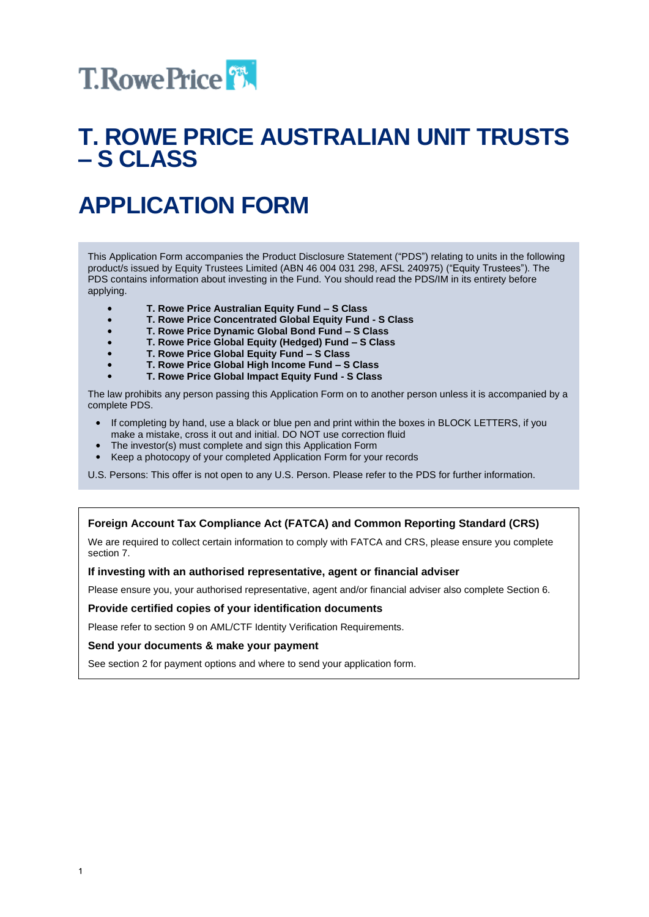

# **T. ROWE PRICE AUSTRALIAN UNIT TRUSTS – S CLASS**

# **APPLICATION FORM**

This Application Form accompanies the Product Disclosure Statement ("PDS") relating to units in the following product/s issued by Equity Trustees Limited (ABN 46 004 031 298, AFSL 240975) ("Equity Trustees"). The PDS contains information about investing in the Fund. You should read the PDS/IM in its entirety before applying.

- **T. Rowe Price Australian Equity Fund – S Class**
- **T. Rowe Price Concentrated Global Equity Fund - S Class**  $\bullet$
- $\bullet$ **T. Rowe Price Dynamic Global Bond Fund – S Class**
- **T. Rowe Price Global Equity (Hedged) Fund – S Class**
- **T. Rowe Price Global Equity Fund – S Class**
- **T. Rowe Price Global High Income Fund – S Class**
- **T. Rowe Price Global Impact Equity Fund - S Class**

The law prohibits any person passing this Application Form on to another person unless it is accompanied by a complete PDS.

- If completing by hand, use a black or blue pen and print within the boxes in BLOCK LETTERS, if you make a mistake, cross it out and initial. DO NOT use correction fluid
- The investor(s) must complete and sign this Application Form
- Keep a photocopy of your completed Application Form for your records

U.S. Persons: This offer is not open to any U.S. Person. Please refer to the PDS for further information.

#### **Foreign Account Tax Compliance Act (FATCA) and Common Reporting Standard (CRS)**

We are required to collect certain information to comply with FATCA and CRS, please ensure you complete section 7.

#### **If investing with an authorised representative, agent or financial adviser**

Please ensure you, your authorised representative, agent and/or financial adviser also complete Section 6.

#### **Provide certified copies of your identification documents**

Please refer to section 9 on AML/CTF Identity Verification Requirements.

#### **Send your documents & make your payment**

See section 2 for payment options and where to send your application form.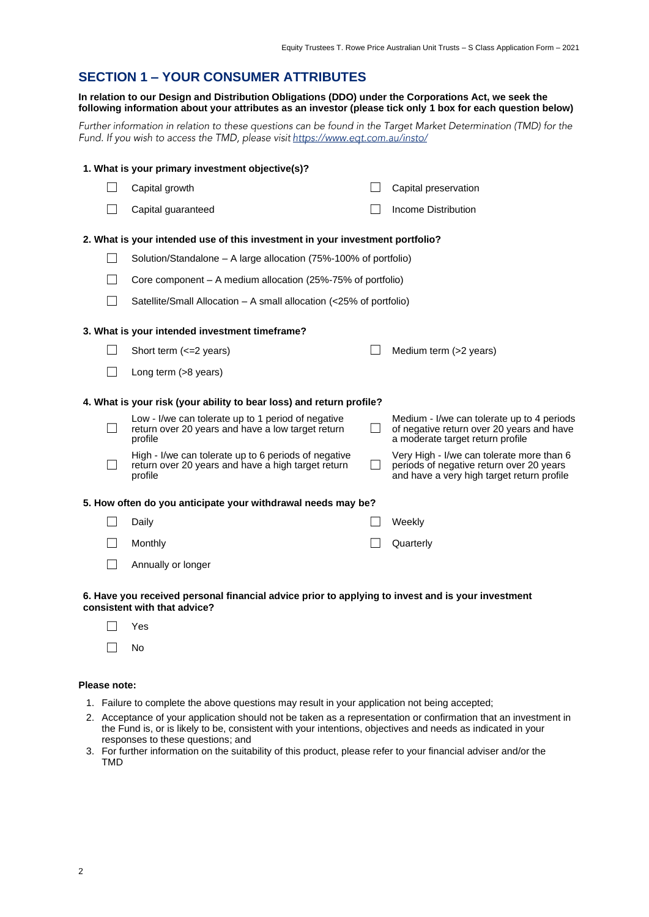#### **SECTION 1 – YOUR CONSUMER ATTRIBUTES**

#### **In relation to our Design and Distribution Obligations (DDO) under the Corporations Act, we seek the following information about your attributes as an investor (please tick only 1 box for each question below)**

Further information in relation to these questions can be found in the Target Market Determination (TMD) for the Fund. If you wish to access the TMD, please visit https://www.eqt.com.au/insto/

|              | 1. What is your primary investment objective(s)?                                                                      |                                                                                                                                     |
|--------------|-----------------------------------------------------------------------------------------------------------------------|-------------------------------------------------------------------------------------------------------------------------------------|
|              | Capital growth                                                                                                        | Capital preservation                                                                                                                |
|              | Capital guaranteed                                                                                                    | Income Distribution                                                                                                                 |
|              | 2. What is your intended use of this investment in your investment portfolio?                                         |                                                                                                                                     |
|              | Solution/Standalone – A large allocation (75%-100% of portfolio)                                                      |                                                                                                                                     |
|              | Core component – A medium allocation (25%-75% of portfolio)                                                           |                                                                                                                                     |
|              | Satellite/Small Allocation - A small allocation (<25% of portfolio)                                                   |                                                                                                                                     |
|              | 3. What is your intended investment timeframe?                                                                        |                                                                                                                                     |
|              | Short term (<= 2 years)                                                                                               | Medium term (>2 years)                                                                                                              |
|              | Long term (>8 years)                                                                                                  |                                                                                                                                     |
|              | 4. What is your risk (your ability to bear loss) and return profile?                                                  |                                                                                                                                     |
| $\mathsf{L}$ | Low - I/we can tolerate up to 1 period of negative<br>return over 20 years and have a low target return<br>profile    | Medium - I/we can tolerate up to 4 periods<br>of negative return over 20 years and have<br>a moderate target return profile         |
|              | High - I/we can tolerate up to 6 periods of negative<br>return over 20 years and have a high target return<br>profile | Very High - I/we can tolerate more than 6<br>periods of negative return over 20 years<br>and have a very high target return profile |
|              | 5. How often do you anticipate your withdrawal needs may be?                                                          |                                                                                                                                     |
|              | Daily                                                                                                                 | Weekly                                                                                                                              |
|              | Monthly                                                                                                               | Quarterly                                                                                                                           |
|              | Annually or longer                                                                                                    |                                                                                                                                     |

#### **6. Have you received personal financial advice prior to applying to invest and is your investment consistent with that advice?**

☐ Yes ☐ No

#### **Please note:**

- 1. Failure to complete the above questions may result in your application not being accepted;
- 2. Acceptance of your application should not be taken as a representation or confirmation that an investment in the Fund is, or is likely to be, consistent with your intentions, objectives and needs as indicated in your responses to these questions; and
- 3. For further information on the suitability of this product, please refer to your financial adviser and/or the TMD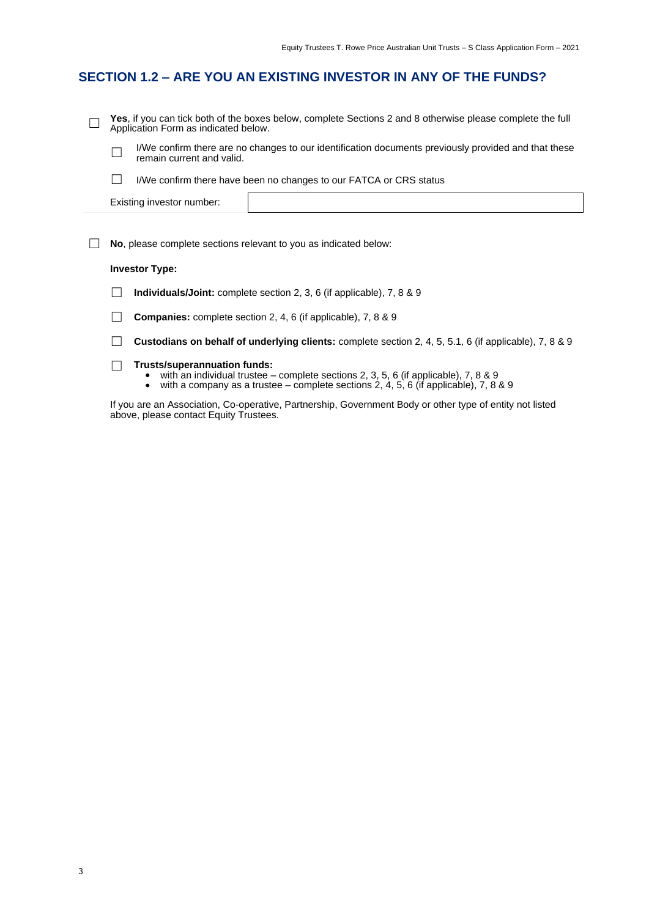### **SECTION 1.2 – ARE YOU AN EXISTING INVESTOR IN ANY OF THE FUNDS?**

| Yes, if you can tick both of the boxes below, complete Sections 2 and 8 otherwise please complete the full<br>Application Form as indicated below. |                                                                              |  |  |  |  |  |  |
|----------------------------------------------------------------------------------------------------------------------------------------------------|------------------------------------------------------------------------------|--|--|--|--|--|--|
| I/We confirm there are no changes to our identification documents previously provided and that these<br>remain current and valid.                  |                                                                              |  |  |  |  |  |  |
|                                                                                                                                                    | I/We confirm there have been no changes to our FATCA or CRS status           |  |  |  |  |  |  |
|                                                                                                                                                    | Existing investor number:                                                    |  |  |  |  |  |  |
|                                                                                                                                                    | <b>No</b> , please complete sections relevant to you as indicated below:     |  |  |  |  |  |  |
|                                                                                                                                                    |                                                                              |  |  |  |  |  |  |
| <b>Investor Type:</b>                                                                                                                              |                                                                              |  |  |  |  |  |  |
|                                                                                                                                                    | <b>Individuals/Joint:</b> complete section 2, 3, 6 (if applicable), 7, 8 & 9 |  |  |  |  |  |  |
|                                                                                                                                                    | <b>Companies:</b> complete section 2, 4, 6 (if applicable), 7, 8 & 9         |  |  |  |  |  |  |

☐ **Custodians on behalf of underlying clients:** complete section 2, 4, 5, 5.1, 6 (if applicable), 7, 8 & 9

- ☐ **Trusts/superannuation funds:** with an individual trustee complete sections 2, 3, 5, 6 (if applicable), 7, 8 & 9
	- with a company as a trustee complete sections 2, 4, 5, 6 (if applicable), 7, 8 & 9

If you are an Association, Co-operative, Partnership, Government Body or other type of entity not listed above, please contact Equity Trustees.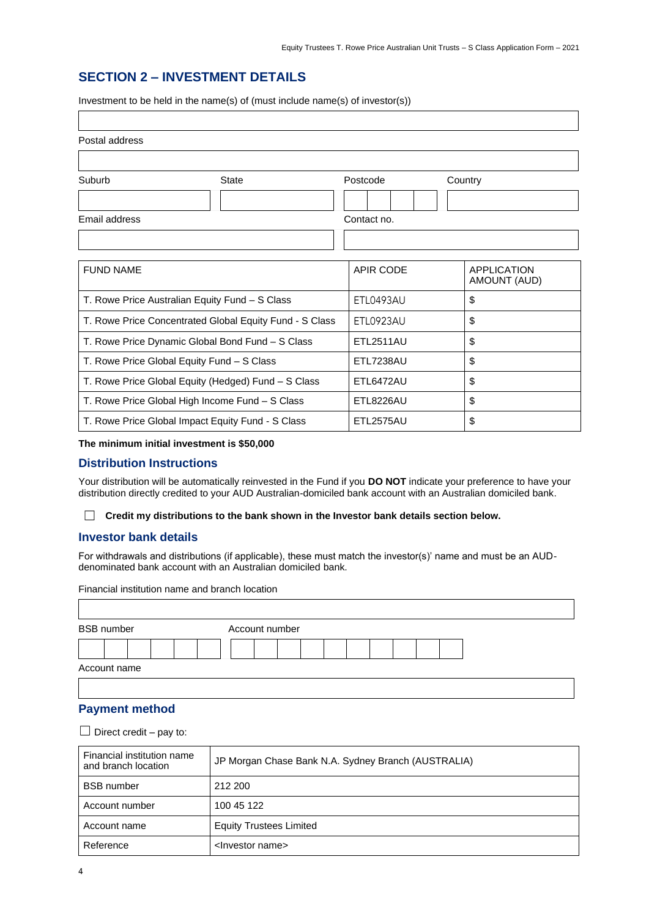#### **SECTION 2 – INVESTMENT DETAILS**

Investment to be held in the name(s) of (must include name(s) of investor(s))

| Postal address                             |                                                         |                  |                    |
|--------------------------------------------|---------------------------------------------------------|------------------|--------------------|
|                                            |                                                         |                  |                    |
| Suburb                                     | <b>State</b>                                            | Postcode         | Country            |
|                                            |                                                         |                  |                    |
| Email address                              |                                                         | Contact no.      |                    |
|                                            |                                                         |                  |                    |
| <b>FUND NAME</b>                           |                                                         | <b>APIR CODE</b> | <b>APPLICATION</b> |
|                                            |                                                         |                  | AMOUNT (AUD)       |
|                                            | T. Rowe Price Australian Equity Fund - S Class          | ETL0493AU        | \$                 |
|                                            | T. Rowe Price Concentrated Global Equity Fund - S Class | ETL0923AU        | \$                 |
|                                            | T. Rowe Price Dynamic Global Bond Fund - S Class        | <b>ETL2511AU</b> | \$                 |
| T. Rowe Price Global Equity Fund - S Class |                                                         | <b>ETL7238AU</b> | \$                 |
|                                            | T. Rowe Price Global Equity (Hedged) Fund - S Class     | ETL6472AU        | \$                 |
|                                            | T. Rowe Price Global High Income Fund - S Class         | ETL8226AU        | \$                 |
|                                            | T. Rowe Price Global Impact Equity Fund - S Class       | ETL2575AU        | \$                 |

#### **The minimum initial investment is \$50,000**

#### **Distribution Instructions**

Your distribution will be automatically reinvested in the Fund if you **DO NOT** indicate your preference to have your distribution directly credited to your AUD Australian-domiciled bank account with an Australian domiciled bank.

☐ **Credit my distributions to the bank shown in the Investor bank details section below.**

#### **Investor bank details**

For withdrawals and distributions (if applicable), these must match the investor(s)' name and must be an AUDdenominated bank account with an Australian domiciled bank.

Financial institution name and branch location

|              | <b>BSB</b> number |  |  |  | Account number |  |  |  |  |
|--------------|-------------------|--|--|--|----------------|--|--|--|--|
|              |                   |  |  |  |                |  |  |  |  |
| Account name |                   |  |  |  |                |  |  |  |  |

#### **Payment method**

 $\Box$  Direct credit – pay to:

| Financial institution name<br>and branch location | JP Morgan Chase Bank N.A. Sydney Branch (AUSTRALIA) |
|---------------------------------------------------|-----------------------------------------------------|
| <b>BSB</b> number                                 | 212 200                                             |
| Account number                                    | 100 45 122                                          |
| Account name                                      | <b>Equity Trustees Limited</b>                      |
| Reference                                         | <lnvestor name=""></lnvestor>                       |

 $\overline{\Gamma}$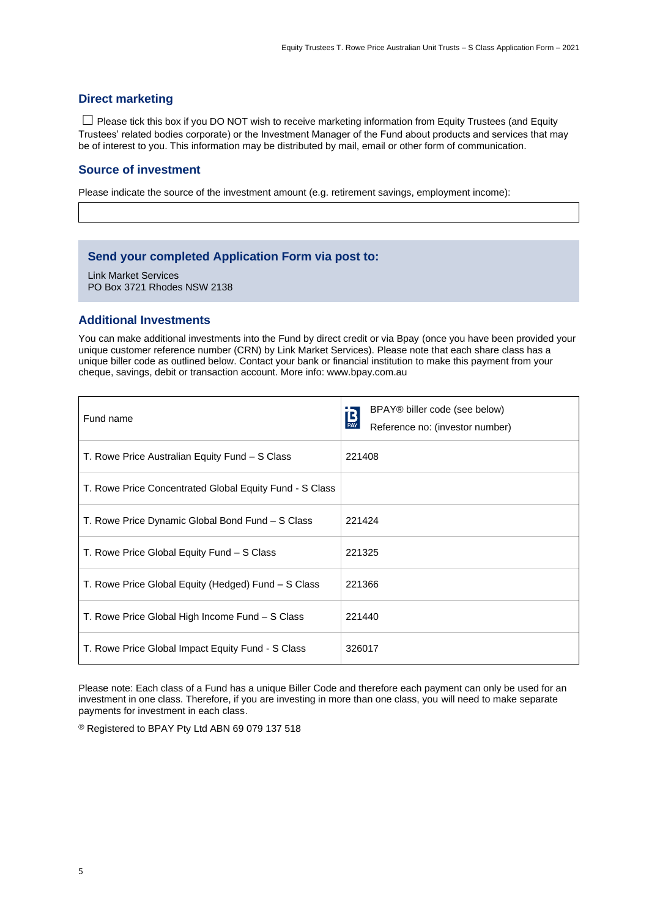#### **Direct marketing**

☐ Please tick this box if you DO NOT wish to receive marketing information from Equity Trustees (and Equity Trustees' related bodies corporate) or the Investment Manager of the Fund about products and services that may be of interest to you. This information may be distributed by mail, email or other form of communication.

#### **Source of investment**

Please indicate the source of the investment amount (e.g. retirement savings, employment income):

#### **Send your completed Application Form via post to:**

Link Market Services PO Box 3721 Rhodes NSW 2138

#### **Additional Investments**

You can make additional investments into the Fund by direct credit or via Bpay (once you have been provided your unique customer reference number (CRN) by Link Market Services). Please note that each share class has a unique biller code as outlined below. Contact your bank or financial institution to make this payment from your cheque, savings, debit or transaction account. More info: www.bpay.com.au

| Fund name                                               | BPAY® biller code (see below)<br>$B_{\text{PAY}}$<br>Reference no: (investor number) |
|---------------------------------------------------------|--------------------------------------------------------------------------------------|
| T. Rowe Price Australian Equity Fund - S Class          | 221408                                                                               |
| T. Rowe Price Concentrated Global Equity Fund - S Class |                                                                                      |
| T. Rowe Price Dynamic Global Bond Fund – S Class        | 221424                                                                               |
| T. Rowe Price Global Equity Fund - S Class              | 221325                                                                               |
| T. Rowe Price Global Equity (Hedged) Fund – S Class     | 221366                                                                               |
| T. Rowe Price Global High Income Fund - S Class         | 221440                                                                               |
| T. Rowe Price Global Impact Equity Fund - S Class       | 326017                                                                               |

Please note: Each class of a Fund has a unique Biller Code and therefore each payment can only be used for an investment in one class. Therefore, if you are investing in more than one class, you will need to make separate payments for investment in each class.

Registered to BPAY Pty Ltd ABN 69 079 137 518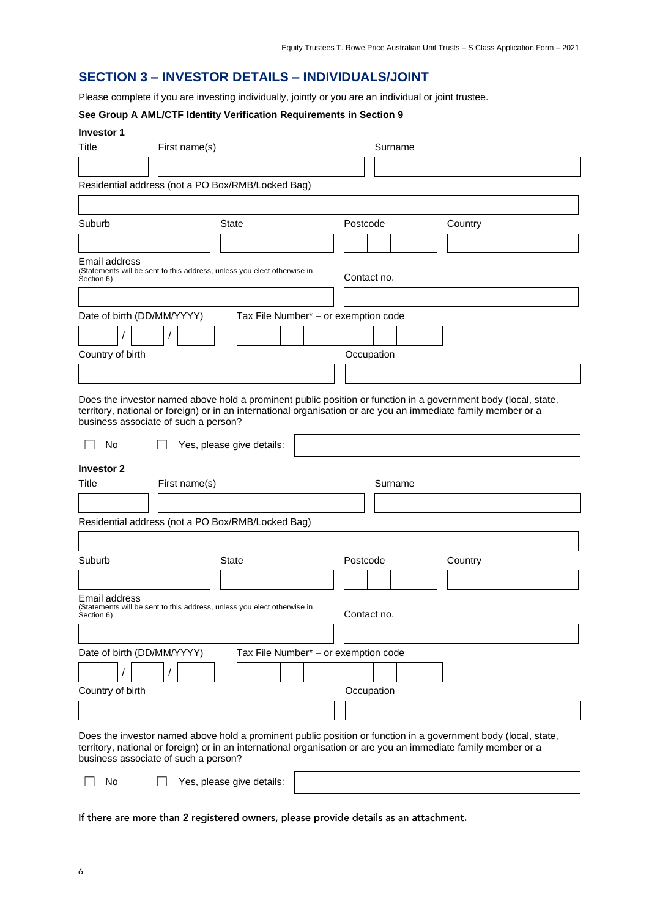#### **SECTION 3 – INVESTOR DETAILS – INDIVIDUALS/JOINT**

Please complete if you are investing individually, jointly or you are an individual or joint trustee.

#### **See Group A AML/CTF Identity Verification Requirements in Section 9**

| <b>Investor 1</b> |  |
|-------------------|--|
|-------------------|--|

| <b>INVESTOL 1</b><br>Title<br>First name(s)                                                            |                                      | Surname                                                                                                                                                                                                                          |
|--------------------------------------------------------------------------------------------------------|--------------------------------------|----------------------------------------------------------------------------------------------------------------------------------------------------------------------------------------------------------------------------------|
|                                                                                                        |                                      |                                                                                                                                                                                                                                  |
| Residential address (not a PO Box/RMB/Locked Bag)                                                      |                                      |                                                                                                                                                                                                                                  |
|                                                                                                        |                                      |                                                                                                                                                                                                                                  |
|                                                                                                        |                                      |                                                                                                                                                                                                                                  |
| Suburb                                                                                                 | State                                | Postcode<br>Country                                                                                                                                                                                                              |
|                                                                                                        |                                      |                                                                                                                                                                                                                                  |
| Email address<br>(Statements will be sent to this address, unless you elect otherwise in<br>Section 6) |                                      | Contact no.                                                                                                                                                                                                                      |
|                                                                                                        |                                      |                                                                                                                                                                                                                                  |
| Date of birth (DD/MM/YYYY)                                                                             | Tax File Number* - or exemption code |                                                                                                                                                                                                                                  |
| $\prime$                                                                                               |                                      |                                                                                                                                                                                                                                  |
|                                                                                                        |                                      |                                                                                                                                                                                                                                  |
| Country of birth                                                                                       |                                      | Occupation                                                                                                                                                                                                                       |
|                                                                                                        |                                      |                                                                                                                                                                                                                                  |
| business associate of such a person?<br>No                                                             | Yes, please give details:            | Does the investor named above hold a prominent public position or function in a government body (local, state,<br>territory, national or foreign) or in an international organisation or are you an immediate family member or a |
|                                                                                                        |                                      |                                                                                                                                                                                                                                  |
| <b>Investor 2</b><br>Title<br>First name(s)                                                            |                                      | Surname                                                                                                                                                                                                                          |
|                                                                                                        |                                      |                                                                                                                                                                                                                                  |
|                                                                                                        |                                      |                                                                                                                                                                                                                                  |
| Residential address (not a PO Box/RMB/Locked Bag)                                                      |                                      |                                                                                                                                                                                                                                  |
|                                                                                                        |                                      |                                                                                                                                                                                                                                  |
| Suburb                                                                                                 | <b>State</b>                         | Postcode<br>Country                                                                                                                                                                                                              |
|                                                                                                        |                                      |                                                                                                                                                                                                                                  |
| Email address                                                                                          |                                      |                                                                                                                                                                                                                                  |
| (Statements will be sent to this address, unless you elect otherwise in<br>Section 6)                  |                                      | Contact no.                                                                                                                                                                                                                      |
|                                                                                                        |                                      |                                                                                                                                                                                                                                  |
| Date of birth (DD/MM/YYYY)                                                                             | Tax File Number* - or exemption code |                                                                                                                                                                                                                                  |
|                                                                                                        |                                      |                                                                                                                                                                                                                                  |
| Country of birth                                                                                       |                                      | Occupation                                                                                                                                                                                                                       |
|                                                                                                        |                                      |                                                                                                                                                                                                                                  |
|                                                                                                        |                                      |                                                                                                                                                                                                                                  |
|                                                                                                        |                                      | Does the investor named above hold a prominent public position or function in a government body (local, state,<br>territory, national or foreign) or in an international organisation or are you an immediate family member or a |

business associate of such a person?

☐ No ☐ Yes, please give details:

If there are more than 2 registered owners, please provide details as an attachment.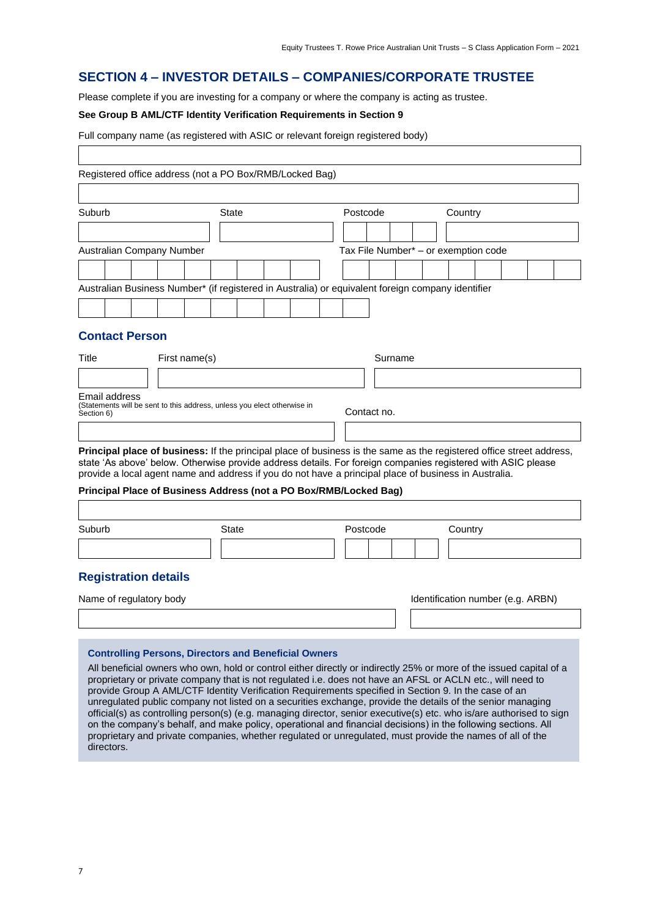#### **SECTION 4 – INVESTOR DETAILS – COMPANIES/CORPORATE TRUSTEE**

Please complete if you are investing for a company or where the company is acting as trustee.

#### **See Group B AML/CTF Identity Verification Requirements in Section 9**

| Full company name (as registered with ASIC or relevant foreign registered body) |  |  |
|---------------------------------------------------------------------------------|--|--|
|                                                                                 |  |  |

| Registered office address (not a PO Box/RMB/Locked Bag)                                                                                                                                                                                                                                                                                                                                                                                                                                                                                                                                                                                        |               |              |  |          |             |         |                                      |  |  |
|------------------------------------------------------------------------------------------------------------------------------------------------------------------------------------------------------------------------------------------------------------------------------------------------------------------------------------------------------------------------------------------------------------------------------------------------------------------------------------------------------------------------------------------------------------------------------------------------------------------------------------------------|---------------|--------------|--|----------|-------------|---------|--------------------------------------|--|--|
|                                                                                                                                                                                                                                                                                                                                                                                                                                                                                                                                                                                                                                                |               |              |  |          |             |         |                                      |  |  |
| Suburb                                                                                                                                                                                                                                                                                                                                                                                                                                                                                                                                                                                                                                         |               | State        |  | Postcode |             |         | Country                              |  |  |
|                                                                                                                                                                                                                                                                                                                                                                                                                                                                                                                                                                                                                                                |               |              |  |          |             |         |                                      |  |  |
| Australian Company Number                                                                                                                                                                                                                                                                                                                                                                                                                                                                                                                                                                                                                      |               |              |  |          |             |         | Tax File Number* - or exemption code |  |  |
|                                                                                                                                                                                                                                                                                                                                                                                                                                                                                                                                                                                                                                                |               |              |  |          |             |         |                                      |  |  |
| Australian Business Number* (if registered in Australia) or equivalent foreign company identifier                                                                                                                                                                                                                                                                                                                                                                                                                                                                                                                                              |               |              |  |          |             |         |                                      |  |  |
|                                                                                                                                                                                                                                                                                                                                                                                                                                                                                                                                                                                                                                                |               |              |  |          |             |         |                                      |  |  |
| <b>Contact Person</b>                                                                                                                                                                                                                                                                                                                                                                                                                                                                                                                                                                                                                          |               |              |  |          |             |         |                                      |  |  |
| Title                                                                                                                                                                                                                                                                                                                                                                                                                                                                                                                                                                                                                                          | First name(s) |              |  |          |             | Surname |                                      |  |  |
|                                                                                                                                                                                                                                                                                                                                                                                                                                                                                                                                                                                                                                                |               |              |  |          |             |         |                                      |  |  |
| Email address<br>(Statements will be sent to this address, unless you elect otherwise in<br>Section 6)                                                                                                                                                                                                                                                                                                                                                                                                                                                                                                                                         |               |              |  |          | Contact no. |         |                                      |  |  |
|                                                                                                                                                                                                                                                                                                                                                                                                                                                                                                                                                                                                                                                |               |              |  |          |             |         |                                      |  |  |
| Principal place of business: If the principal place of business is the same as the registered office street address,<br>state 'As above' below. Otherwise provide address details. For foreign companies registered with ASIC please<br>provide a local agent name and address if you do not have a principal place of business in Australia.<br>Principal Place of Business Address (not a PO Box/RMB/Locked Bag)                                                                                                                                                                                                                             |               |              |  |          |             |         |                                      |  |  |
|                                                                                                                                                                                                                                                                                                                                                                                                                                                                                                                                                                                                                                                |               |              |  |          |             |         |                                      |  |  |
| Suburb                                                                                                                                                                                                                                                                                                                                                                                                                                                                                                                                                                                                                                         |               | <b>State</b> |  | Postcode |             |         | Country                              |  |  |
|                                                                                                                                                                                                                                                                                                                                                                                                                                                                                                                                                                                                                                                |               |              |  |          |             |         |                                      |  |  |
| <b>Registration details</b>                                                                                                                                                                                                                                                                                                                                                                                                                                                                                                                                                                                                                    |               |              |  |          |             |         |                                      |  |  |
| Name of regulatory body                                                                                                                                                                                                                                                                                                                                                                                                                                                                                                                                                                                                                        |               |              |  |          |             |         | Identification number (e.g. ARBN)    |  |  |
|                                                                                                                                                                                                                                                                                                                                                                                                                                                                                                                                                                                                                                                |               |              |  |          |             |         |                                      |  |  |
| <b>Controlling Persons, Directors and Beneficial Owners</b><br>All beneficial owners who own, hold or control either directly or indirectly 25% or more of the issued capital of a<br>proprietary or private company that is not regulated i.e. does not have an AFSL or ACLN etc., will need to<br>provide Group A AML/CTF Identity Verification Requirements specified in Section 9. In the case of an<br>unregulated public company not listed on a securities exchange, provide the details of the senior managing<br>official(s) as controlling person(s) (e.g. managing director, senior executive(s) etc. who is/are authorised to sign |               |              |  |          |             |         |                                      |  |  |

on the company's behalf, and make policy, operational and financial decisions) in the following sections. All proprietary and private companies, whether regulated or unregulated, must provide the names of all of the

directors.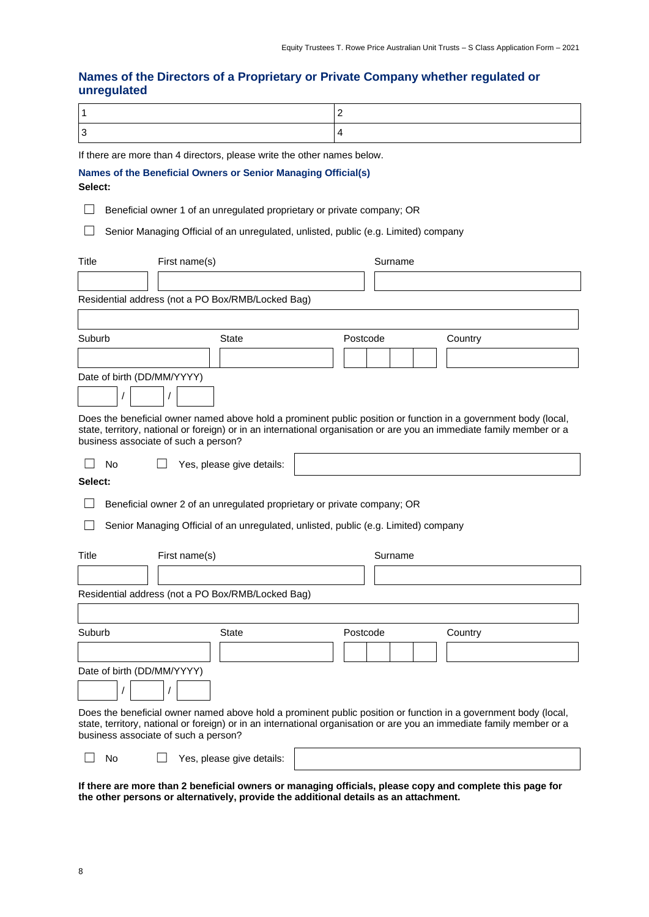#### **Names of the Directors of a Proprietary or Private Company whether regulated or unregulated**

If there are more than 4 directors, please write the other names below.

|  |  |  | Names of the Beneficial Owners or Senior Managing Official(s) |  |
|--|--|--|---------------------------------------------------------------|--|
|  |  |  |                                                               |  |

#### **Select:**

☐ Beneficial owner 1 of an unregulated proprietary or private company; OR

□ Senior Managing Official of an unregulated, unlisted, public (e.g. Limited) company

| Title                                | First name(s) |                                                                                     |          | Surname |                                                                                                                                                                                                                                          |
|--------------------------------------|---------------|-------------------------------------------------------------------------------------|----------|---------|------------------------------------------------------------------------------------------------------------------------------------------------------------------------------------------------------------------------------------------|
|                                      |               |                                                                                     |          |         |                                                                                                                                                                                                                                          |
|                                      |               | Residential address (not a PO Box/RMB/Locked Bag)                                   |          |         |                                                                                                                                                                                                                                          |
|                                      |               |                                                                                     |          |         |                                                                                                                                                                                                                                          |
| Suburb                               |               | State                                                                               | Postcode |         | Country                                                                                                                                                                                                                                  |
|                                      |               |                                                                                     |          |         |                                                                                                                                                                                                                                          |
| Date of birth (DD/MM/YYYY)           |               |                                                                                     |          |         |                                                                                                                                                                                                                                          |
|                                      |               |                                                                                     |          |         |                                                                                                                                                                                                                                          |
| business associate of such a person? |               |                                                                                     |          |         | Does the beneficial owner named above hold a prominent public position or function in a government body (local,<br>state, territory, national or foreign) or in an international organisation or are you an immediate family member or a |
| No                                   |               | Yes, please give details:                                                           |          |         |                                                                                                                                                                                                                                          |
| Select:                              |               |                                                                                     |          |         |                                                                                                                                                                                                                                          |
|                                      |               | Beneficial owner 2 of an unregulated proprietary or private company; OR             |          |         |                                                                                                                                                                                                                                          |
|                                      |               | Senior Managing Official of an unregulated, unlisted, public (e.g. Limited) company |          |         |                                                                                                                                                                                                                                          |
|                                      |               |                                                                                     |          |         |                                                                                                                                                                                                                                          |
| Title                                | First name(s) |                                                                                     |          | Surname |                                                                                                                                                                                                                                          |
|                                      |               |                                                                                     |          |         |                                                                                                                                                                                                                                          |
|                                      |               | Residential address (not a PO Box/RMB/Locked Bag)                                   |          |         |                                                                                                                                                                                                                                          |
|                                      |               |                                                                                     |          |         |                                                                                                                                                                                                                                          |
| Suburb                               |               | <b>State</b>                                                                        | Postcode |         | Country                                                                                                                                                                                                                                  |
|                                      |               |                                                                                     |          |         |                                                                                                                                                                                                                                          |
| Date of birth (DD/MM/YYYY)           |               |                                                                                     |          |         |                                                                                                                                                                                                                                          |
|                                      |               |                                                                                     |          |         |                                                                                                                                                                                                                                          |
| business associate of such a person? |               |                                                                                     |          |         | Does the beneficial owner named above hold a prominent public position or function in a government body (local,<br>state, territory, national or foreign) or in an international organisation or are you an immediate family member or a |
| No                                   |               | Yes, please give details:                                                           |          |         |                                                                                                                                                                                                                                          |

**If there are more than 2 beneficial owners or managing officials, please copy and complete this page for the other persons or alternatively, provide the additional details as an attachment.**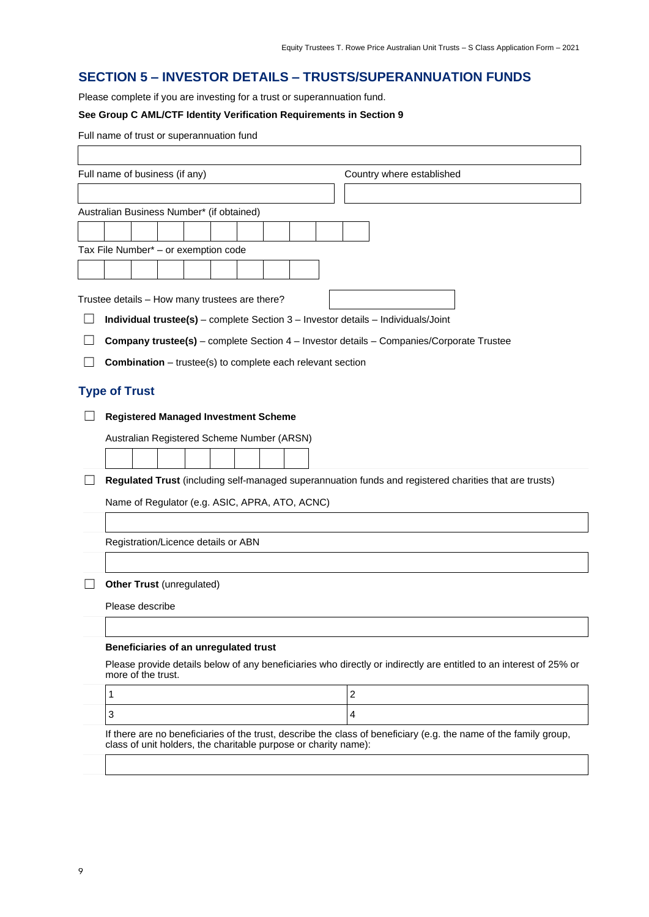#### **SECTION 5 – INVESTOR DETAILS – TRUSTS/SUPERANNUATION FUNDS**

Please complete if you are investing for a trust or superannuation fund.

#### **See Group C AML/CTF Identity Verification Requirements in Section 9**

|                      | Full name of trust or superannuation fund                                                                                                                                                                                                                                      |                           |
|----------------------|--------------------------------------------------------------------------------------------------------------------------------------------------------------------------------------------------------------------------------------------------------------------------------|---------------------------|
|                      | Full name of business (if any)                                                                                                                                                                                                                                                 | Country where established |
|                      |                                                                                                                                                                                                                                                                                |                           |
|                      | Australian Business Number* (if obtained)                                                                                                                                                                                                                                      |                           |
|                      |                                                                                                                                                                                                                                                                                |                           |
|                      | Tax File Number* - or exemption code                                                                                                                                                                                                                                           |                           |
|                      |                                                                                                                                                                                                                                                                                |                           |
|                      |                                                                                                                                                                                                                                                                                |                           |
|                      | Trustee details - How many trustees are there?                                                                                                                                                                                                                                 |                           |
|                      | Individual trustee(s) - complete Section 3 - Investor details - Individuals/Joint                                                                                                                                                                                              |                           |
|                      | <b>Company trustee(s)</b> – complete Section 4 – Investor details – Companies/Corporate Trustee                                                                                                                                                                                |                           |
|                      | <b>Combination</b> – trustee(s) to complete each relevant section                                                                                                                                                                                                              |                           |
| <b>Type of Trust</b> |                                                                                                                                                                                                                                                                                |                           |
|                      | <b>Registered Managed Investment Scheme</b>                                                                                                                                                                                                                                    |                           |
|                      | Australian Registered Scheme Number (ARSN)                                                                                                                                                                                                                                     |                           |
|                      |                                                                                                                                                                                                                                                                                |                           |
|                      | Regulated Trust (including self-managed superannuation funds and registered charities that are trusts)                                                                                                                                                                         |                           |
|                      |                                                                                                                                                                                                                                                                                |                           |
|                      | Name of Regulator (e.g. ASIC, APRA, ATO, ACNC)                                                                                                                                                                                                                                 |                           |
|                      |                                                                                                                                                                                                                                                                                |                           |
|                      | Registration/Licence details or ABN                                                                                                                                                                                                                                            |                           |
|                      |                                                                                                                                                                                                                                                                                |                           |
|                      |                                                                                                                                                                                                                                                                                |                           |
|                      |                                                                                                                                                                                                                                                                                |                           |
|                      |                                                                                                                                                                                                                                                                                |                           |
|                      |                                                                                                                                                                                                                                                                                |                           |
|                      | more of the trust.                                                                                                                                                                                                                                                             |                           |
| 1                    |                                                                                                                                                                                                                                                                                | $\boldsymbol{2}$          |
| 3                    |                                                                                                                                                                                                                                                                                | 4                         |
|                      | If there are no beneficiaries of the trust, describe the class of beneficiary (e.g. the name of the family group,                                                                                                                                                              |                           |
|                      |                                                                                                                                                                                                                                                                                |                           |
|                      | Other Trust (unregulated)<br>Please describe<br>Beneficiaries of an unregulated trust<br>Please provide details below of any beneficiaries who directly or indirectly are entitled to an interest of 25% or<br>class of unit holders, the charitable purpose or charity name): |                           |

 $\overline{\phantom{a}}$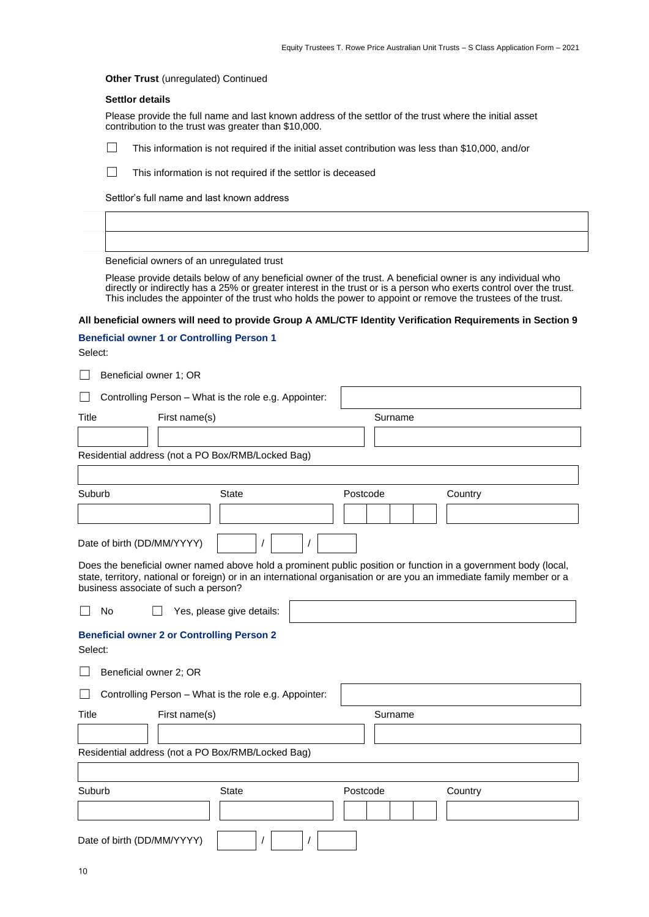#### **Other Trust** (unregulated) Continued

#### **Settlor details**

Please provide the full name and last known address of the settlor of the trust where the initial asset contribution to the trust was greater than \$10,000.

☐ This information is not required if the initial asset contribution was less than \$10,000, and/or

☐ This information is not required if the settlor is deceased

Settlor's full name and last known address

Beneficial owners of an unregulated trust

Please provide details below of any beneficial owner of the trust. A beneficial owner is any individual who directly or indirectly has a 25% or greater interest in the trust or is a person who exerts control over the trust. This includes the appointer of the trust who holds the power to appoint or remove the trustees of the trust.

#### **All beneficial owners will need to provide Group A AML/CTF Identity Verification Requirements in Section 9**

#### **Beneficial owner 1 or Controlling Person 1**

Select:

| $\Box$<br>Beneficial owner 1; OR                                                                                                                                                                                                                                                 |                     |
|----------------------------------------------------------------------------------------------------------------------------------------------------------------------------------------------------------------------------------------------------------------------------------|---------------------|
| Controlling Person - What is the role e.g. Appointer:                                                                                                                                                                                                                            |                     |
| Title<br>First name(s)                                                                                                                                                                                                                                                           | Surname             |
|                                                                                                                                                                                                                                                                                  |                     |
| Residential address (not a PO Box/RMB/Locked Bag)                                                                                                                                                                                                                                |                     |
|                                                                                                                                                                                                                                                                                  |                     |
| Suburb<br><b>State</b>                                                                                                                                                                                                                                                           | Postcode<br>Country |
|                                                                                                                                                                                                                                                                                  |                     |
| Date of birth (DD/MM/YYYY)<br>$\prime$                                                                                                                                                                                                                                           |                     |
| Does the beneficial owner named above hold a prominent public position or function in a government body (local,<br>state, territory, national or foreign) or in an international organisation or are you an immediate family member or a<br>business associate of such a person? |                     |
| No<br>Yes, please give details:                                                                                                                                                                                                                                                  |                     |
| <b>Beneficial owner 2 or Controlling Person 2</b><br>Select:                                                                                                                                                                                                                     |                     |
| Beneficial owner 2; OR                                                                                                                                                                                                                                                           |                     |
| Controlling Person - What is the role e.g. Appointer:                                                                                                                                                                                                                            |                     |
| Title<br>First name(s)                                                                                                                                                                                                                                                           | Surname             |
|                                                                                                                                                                                                                                                                                  |                     |
| Residential address (not a PO Box/RMB/Locked Bag)                                                                                                                                                                                                                                |                     |
|                                                                                                                                                                                                                                                                                  |                     |
| Suburb<br><b>State</b>                                                                                                                                                                                                                                                           | Postcode<br>Country |
|                                                                                                                                                                                                                                                                                  |                     |
| Date of birth (DD/MM/YYYY)                                                                                                                                                                                                                                                       |                     |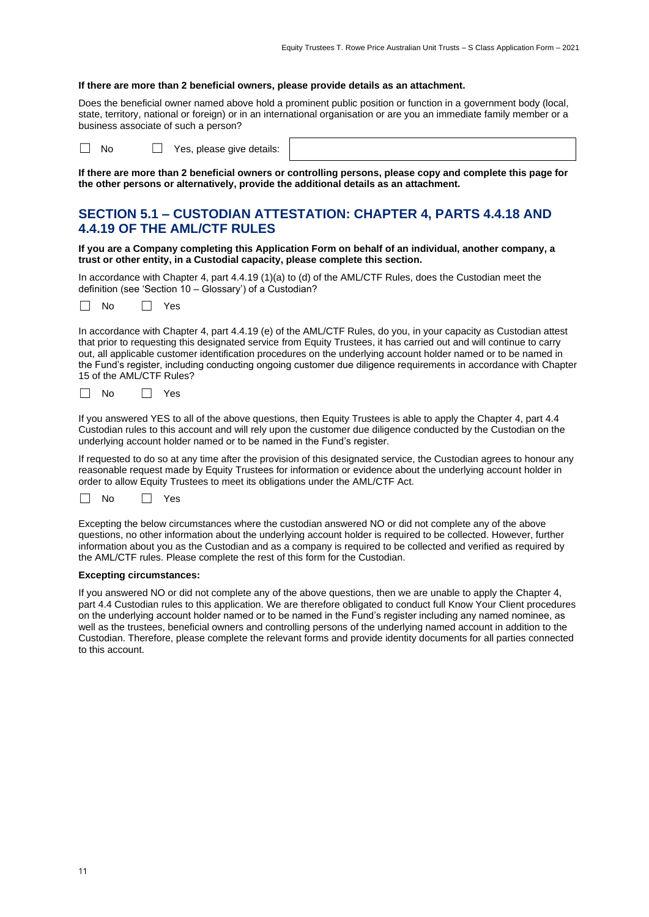#### **If there are more than 2 beneficial owners, please provide details as an attachment.**

Does the beneficial owner named above hold a prominent public position or function in a government body (local, state, territory, national or foreign) or in an international organisation or are you an immediate family member or a business associate of such a person?

☐ No ☐ Yes, please give details:

**If there are more than 2 beneficial owners or controlling persons, please copy and complete this page for the other persons or alternatively, provide the additional details as an attachment.**

#### **SECTION 5.1 – CUSTODIAN ATTESTATION: CHAPTER 4, PARTS 4.4.18 AND 4.4.19 OF THE AML/CTF RULES**

**If you are a Company completing this Application Form on behalf of an individual, another company, a trust or other entity, in a Custodial capacity, please complete this section.**

In accordance with Chapter 4, part 4.4.19 (1)(a) to (d) of the AML/CTF Rules, does the Custodian meet the definition (see 'Section 10 – Glossary') of a Custodian?



In accordance with Chapter 4, part 4.4.19 (e) of the AML/CTF Rules, do you, in your capacity as Custodian attest that prior to requesting this designated service from Equity Trustees, it has carried out and will continue to carry out, all applicable customer identification procedures on the underlying account holder named or to be named in the Fund's register, including conducting ongoing customer due diligence requirements in accordance with Chapter 15 of the AML/CTF Rules?

| N∩. | $\sim$<br>$\sim$ |
|-----|------------------|
|-----|------------------|

If you answered YES to all of the above questions, then Equity Trustees is able to apply the Chapter 4, part 4.4 Custodian rules to this account and will rely upon the customer due diligence conducted by the Custodian on the underlying account holder named or to be named in the Fund's register.

If requested to do so at any time after the provision of this designated service, the Custodian agrees to honour any reasonable request made by Equity Trustees for information or evidence about the underlying account holder in order to allow Equity Trustees to meet its obligations under the AML/CTF Act.



Excepting the below circumstances where the custodian answered NO or did not complete any of the above questions, no other information about the underlying account holder is required to be collected. However, further information about you as the Custodian and as a company is required to be collected and verified as required by the AML/CTF rules. Please complete the rest of this form for the Custodian.

#### **Excepting circumstances:**

If you answered NO or did not complete any of the above questions, then we are unable to apply the Chapter 4, part 4.4 Custodian rules to this application. We are therefore obligated to conduct full Know Your Client procedures on the underlying account holder named or to be named in the Fund's register including any named nominee, as well as the trustees, beneficial owners and controlling persons of the underlying named account in addition to the Custodian. Therefore, please complete the relevant forms and provide identity documents for all parties connected to this account.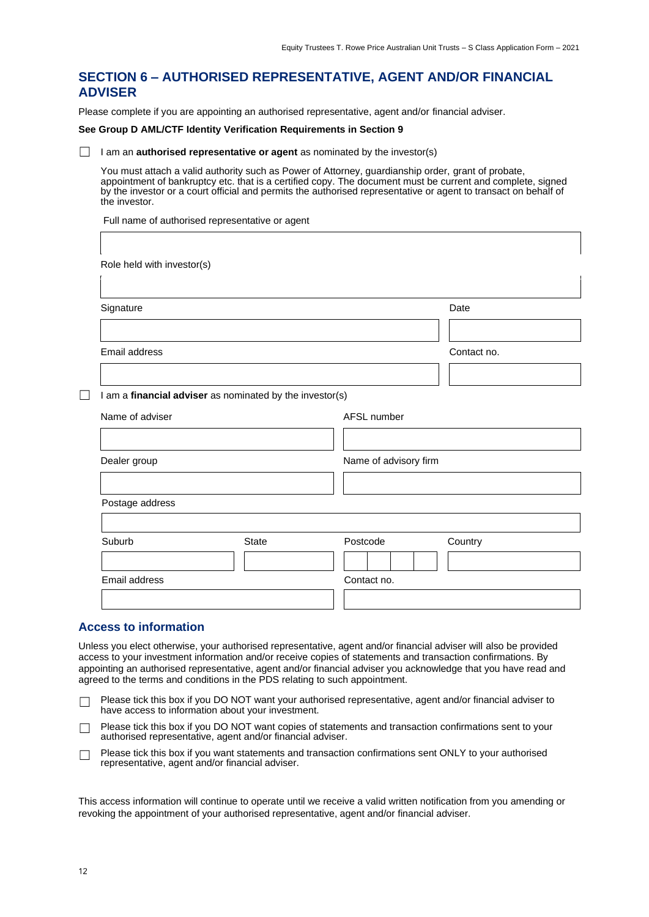#### **SECTION 6 – AUTHORISED REPRESENTATIVE, AGENT AND/OR FINANCIAL ADVISER**

Please complete if you are appointing an authorised representative, agent and/or financial adviser.

#### **See Group D AML/CTF Identity Verification Requirements in Section 9**

□ I am an **authorised representative or agent** as nominated by the investor(s)

You must attach a valid authority such as Power of Attorney, guardianship order, grant of probate, appointment of bankruptcy etc. that is a certified copy. The document must be current and complete, signed by the investor or a court official and permits the authorised representative or agent to transact on behalf of the investor.

Full name of authorised representative or agent

| Signature                                                |              |                       | Date        |
|----------------------------------------------------------|--------------|-----------------------|-------------|
|                                                          |              |                       |             |
| Email address                                            |              |                       | Contact no. |
|                                                          |              |                       |             |
| I am a financial adviser as nominated by the investor(s) |              |                       |             |
| Name of adviser                                          |              | AFSL number           |             |
|                                                          |              |                       |             |
| Dealer group                                             |              | Name of advisory firm |             |
|                                                          |              |                       |             |
| Postage address                                          |              |                       |             |
|                                                          |              |                       |             |
| Suburb                                                   | <b>State</b> | Postcode              | Country     |
|                                                          |              |                       |             |
| Email address                                            |              | Contact no.           |             |

#### **Access to information**

Unless you elect otherwise, your authorised representative, agent and/or financial adviser will also be provided access to your investment information and/or receive copies of statements and transaction confirmations. By appointing an authorised representative, agent and/or financial adviser you acknowledge that you have read and agreed to the terms and conditions in the PDS relating to such appointment.

- □ Please tick this box if you DO NOT want your authorised representative, agent and/or financial adviser to have access to information about your investment.
- □ Please tick this box if you DO NOT want copies of statements and transaction confirmations sent to your authorised representative, agent and/or financial adviser.
- □ Please tick this box if you want statements and transaction confirmations sent ONLY to your authorised representative, agent and/or financial adviser.

This access information will continue to operate until we receive a valid written notification from you amending or revoking the appointment of your authorised representative, agent and/or financial adviser.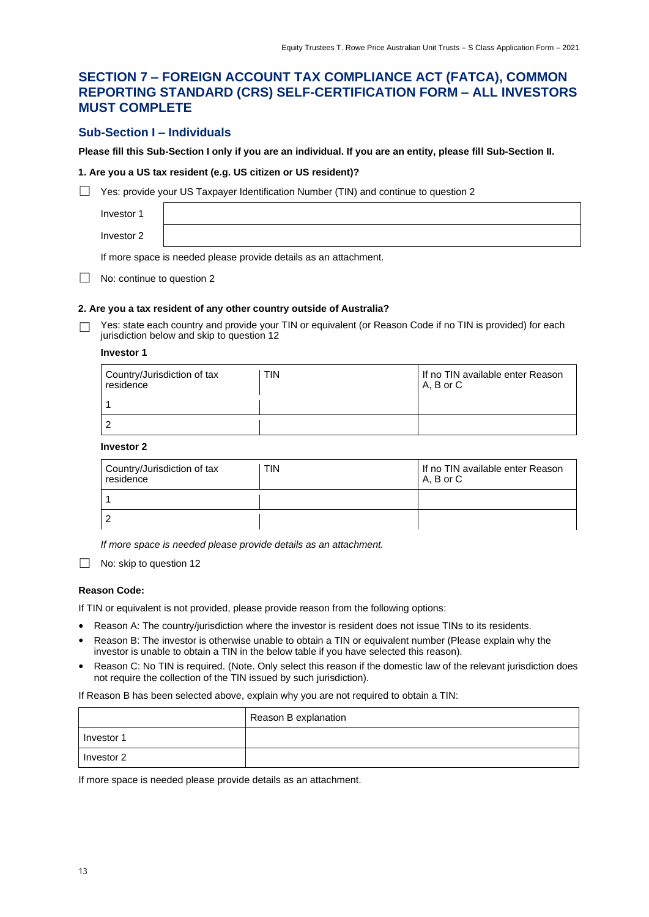#### **SECTION 7 – FOREIGN ACCOUNT TAX COMPLIANCE ACT (FATCA), COMMON REPORTING STANDARD (CRS) SELF-CERTIFICATION FORM – ALL INVESTORS MUST COMPLETE**

#### **Sub-Section I – Individuals**

**Please fill this Sub-Section I only if you are an individual. If you are an entity, please fill Sub-Section II.**

#### **1. Are you a US tax resident (e.g. US citizen or US resident)?**

□ Yes: provide your US Taxpayer Identification Number (TIN) and continue to question 2

Investor 1 Investor 2

If more space is needed please provide details as an attachment.

□ No: continue to question 2

#### **2. Are you a tax resident of any other country outside of Australia?**

Yes: state each country and provide your TIN or equivalent (or Reason Code if no TIN is provided) for each jurisdiction below and skip to question 12

#### **Investor 1**

| Country/Jurisdiction of tax<br>residence | <b>TIN</b> | If no TIN available enter Reason<br>A. B or C |
|------------------------------------------|------------|-----------------------------------------------|
|                                          |            |                                               |
| 2                                        |            |                                               |

#### **Investor 2**

| Country/Jurisdiction of tax<br>residence | TIN | If no TIN available enter Reason<br>IA.BorC |
|------------------------------------------|-----|---------------------------------------------|
|                                          |     |                                             |
| っ                                        |     |                                             |

*If more space is needed please provide details as an attachment.*

□ No: skip to question 12

#### **Reason Code:**

If TIN or equivalent is not provided, please provide reason from the following options:

- Reason A: The country/jurisdiction where the investor is resident does not issue TINs to its residents.
- Reason B: The investor is otherwise unable to obtain a TIN or equivalent number (Please explain why the investor is unable to obtain a TIN in the below table if you have selected this reason).
- Reason C: No TIN is required. (Note. Only select this reason if the domestic law of the relevant jurisdiction does not require the collection of the TIN issued by such jurisdiction).

If Reason B has been selected above, explain why you are not required to obtain a TIN:

|            | Reason B explanation |
|------------|----------------------|
| Investor 1 |                      |
| Investor 2 |                      |

If more space is needed please provide details as an attachment.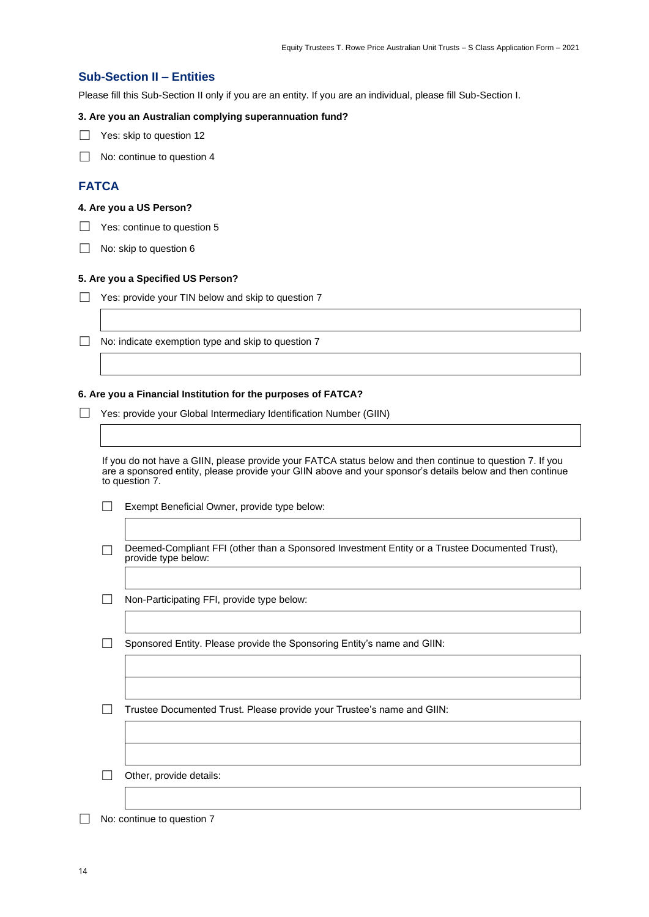#### **Sub-Section II – Entities**

Please fill this Sub-Section II only if you are an entity. If you are an individual, please fill Sub-Section I.

#### **3. Are you an Australian complying superannuation fund?**

□ Yes: skip to question 12

□ No: continue to question 4

#### **FATCA**

#### **4. Are you a US Person?**

 $\Box$  Yes: continue to question 5

□ No: skip to question 6

#### **5. Are you a Specified US Person?**

 $\Box$  Yes: provide your TIN below and skip to question 7

 $\Box$  No: indicate exemption type and skip to question  $7$ 

#### **6. Are you a Financial Institution for the purposes of FATCA?**

□ Yes: provide your Global Intermediary Identification Number (GIIN)

If you do not have a GIIN, please provide your FATCA status below and then continue to question 7. If you are a sponsored entity, please provide your GIIN above and your sponsor's details below and then continue to question 7.

- ☐ Exempt Beneficial Owner, provide type below:
- □ Deemed-Compliant FFI (other than a Sponsored Investment Entity or a Trustee Documented Trust), provide type below:
- ☐ Non-Participating FFI, provide type below:

☐ Sponsored Entity. Please provide the Sponsoring Entity's name and GIIN:

☐ Trustee Documented Trust. Please provide your Trustee's name and GIIN:

 $\Box$  Other, provide details:

□ No: continue to question 7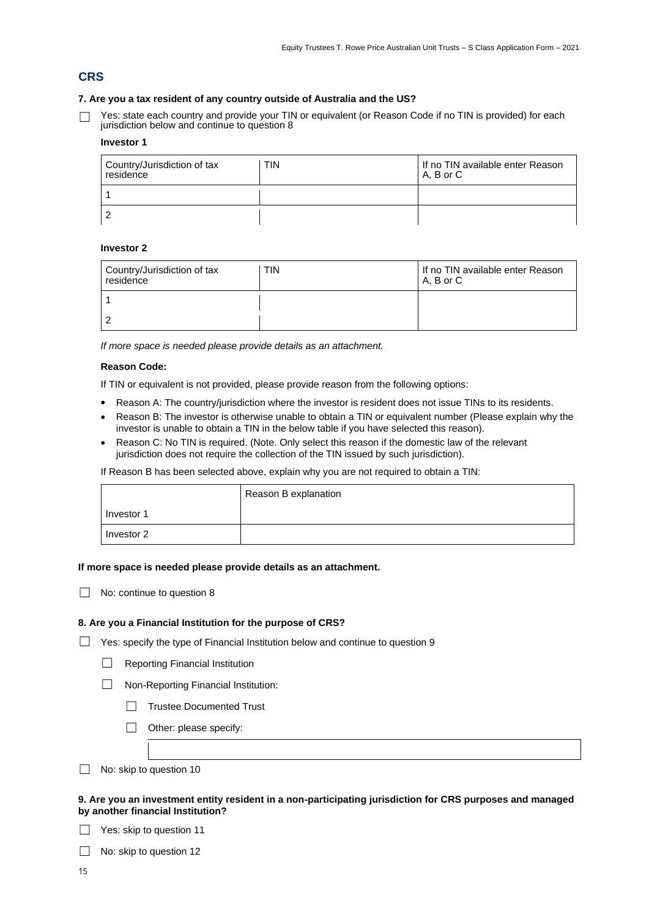#### **CRS**

#### **7. Are you a tax resident of any country outside of Australia and the US?**

☐ Yes: state each country and provide your TIN or equivalent (or Reason Code if no TIN is provided) for each jurisdiction below and continue to question 8

#### **Investor 1**

| Country/Jurisdiction of tax<br>residence | <b>TIN</b> | If no TIN available enter Reason<br>A. B or C |
|------------------------------------------|------------|-----------------------------------------------|
|                                          |            |                                               |
| 2                                        |            |                                               |

#### **Investor 2**

| Country/Jurisdiction of tax<br>residence | <b>TIN</b> | If no TIN available enter Reason<br>$A. B$ or $C$ |
|------------------------------------------|------------|---------------------------------------------------|
|                                          |            |                                                   |
|                                          |            |                                                   |

*If more space is needed please provide details as an attachment.*

#### **Reason Code:**

If TIN or equivalent is not provided, please provide reason from the following options:

- Reason A: The country/jurisdiction where the investor is resident does not issue TINs to its residents.
- Reason B: The investor is otherwise unable to obtain a TIN or equivalent number (Please explain why the  $\bullet$ investor is unable to obtain a TIN in the below table if you have selected this reason).
- $\bullet$ Reason C: No TIN is required. (Note. Only select this reason if the domestic law of the relevant jurisdiction does not require the collection of the TIN issued by such jurisdiction).

If Reason B has been selected above, explain why you are not required to obtain a TIN:

|            | Reason B explanation |
|------------|----------------------|
| Investor 1 |                      |
| Investor 2 |                      |

#### **If more space is needed please provide details as an attachment.**

| $\Box$ No: continue to question 8 |
|-----------------------------------|
|-----------------------------------|

#### **8. Are you a Financial Institution for the purpose of CRS?**

- □ Yes: specify the type of Financial Institution below and continue to question 9
	- □ Reporting Financial Institution

☐ Non-Reporting Financial Institution:

- □ Trustee Documented Trust
- □ Other: please specify:
- □ No: skip to question 10

#### **9. Are you an investment entity resident in a non-participating jurisdiction for CRS purposes and managed by another financial Institution?**

□ Yes: skip to question 11

□ No: skip to question 12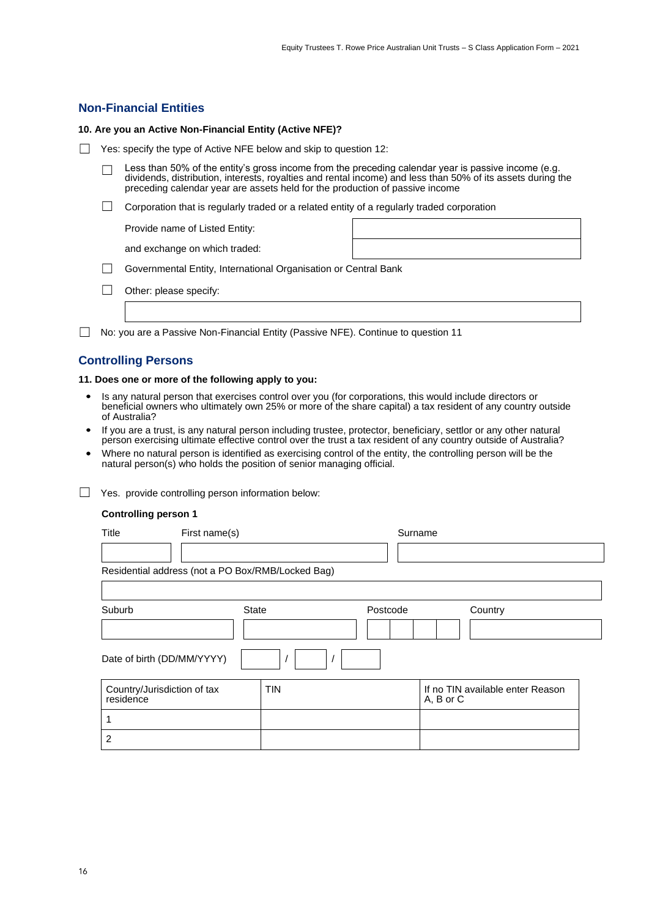#### **Non-Financial Entities**

#### **10. Are you an Active Non-Financial Entity (Active NFE)?**

- □ Yes: specify the type of Active NFE below and skip to question 12:
	- $\Box$  Less than 50% of the entity's gross income from the preceding calendar year is passive income (e.g. dividends, distribution, interests, royalties and rental income) and less than 50% of its assets during the preceding calendar year are assets held for the production of passive income
	- □ Corporation that is regularly traded or a related entity of a regularly traded corporation

Provide name of Listed Entity:

and exchange on which traded:

- □ Governmental Entity, International Organisation or Central Bank
- □ Other: please specify:
- ☐ No: you are a Passive Non-Financial Entity (Passive NFE). Continue to question 11

#### **Controlling Persons**

#### **11. Does one or more of the following apply to you:**

- Is any natural person that exercises control over you (for corporations, this would include directors or beneficial owners who ultimately own 25% or more of the share capital) a tax resident of any country outside of Australia?
- If you are a trust, is any natural person including trustee, protector, beneficiary, settlor or any other natural person exercising ultimate effective control over the trust a tax resident of any country outside of Australia?
- Where no natural person is identified as exercising control of the entity, the controlling person will be the natural person(s) who holds the position of senior managing official.
- □ Yes. provide controlling person information below:

#### **Controlling person 1**

| Title                                             | First name(s) |            |          | Surname   |                                  |  |
|---------------------------------------------------|---------------|------------|----------|-----------|----------------------------------|--|
|                                                   |               |            |          |           |                                  |  |
| Residential address (not a PO Box/RMB/Locked Bag) |               |            |          |           |                                  |  |
|                                                   |               |            |          |           |                                  |  |
| Suburb                                            | <b>State</b>  |            | Postcode |           | Country                          |  |
|                                                   |               |            |          |           |                                  |  |
| Date of birth (DD/MM/YYYY)                        |               |            |          |           |                                  |  |
| Country/Jurisdiction of tax<br>residence          |               | <b>TIN</b> |          | A, B or C | If no TIN available enter Reason |  |
| 1                                                 |               |            |          |           |                                  |  |
| 2                                                 |               |            |          |           |                                  |  |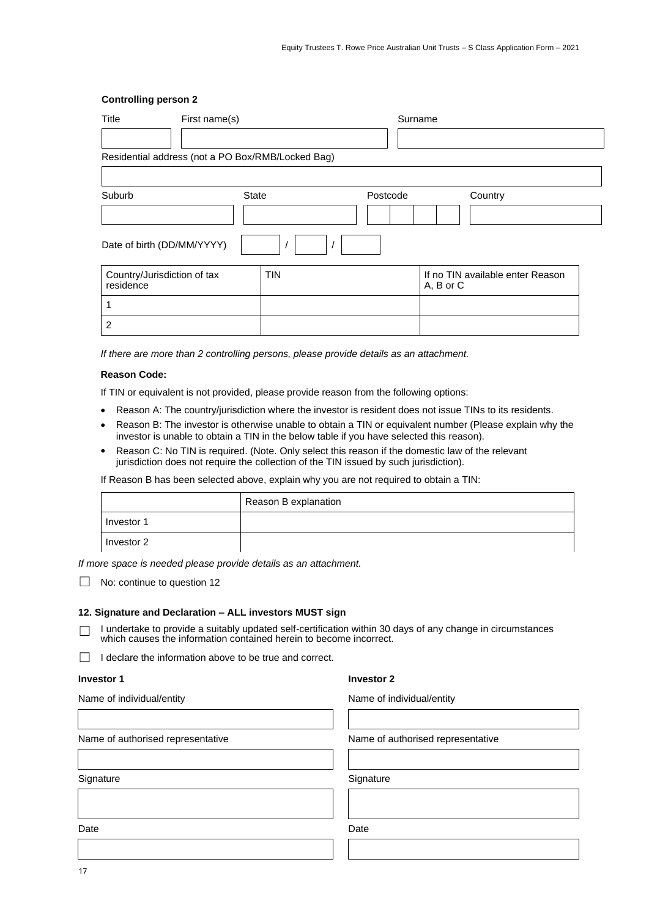#### **Controlling person 2**

| Title                                    | First name(s)                                     |            |          | Surname                                       |  |
|------------------------------------------|---------------------------------------------------|------------|----------|-----------------------------------------------|--|
|                                          |                                                   |            |          |                                               |  |
|                                          | Residential address (not a PO Box/RMB/Locked Bag) |            |          |                                               |  |
|                                          |                                                   |            |          |                                               |  |
| Suburb                                   | State                                             |            | Postcode | Country                                       |  |
|                                          |                                                   |            |          |                                               |  |
| Date of birth (DD/MM/YYYY)               |                                                   |            |          |                                               |  |
| Country/Jurisdiction of tax<br>residence |                                                   | <b>TIN</b> |          | If no TIN available enter Reason<br>A, B or C |  |
|                                          |                                                   |            |          |                                               |  |
| $\overline{2}$                           |                                                   |            |          |                                               |  |

*If there are more than 2 controlling persons, please provide details as an attachment.*

#### **Reason Code:**

If TIN or equivalent is not provided, please provide reason from the following options:

- Reason A: The country/jurisdiction where the investor is resident does not issue TINs to its residents.  $\bullet$
- Reason B: The investor is otherwise unable to obtain a TIN or equivalent number (Please explain why the investor is unable to obtain a TIN in the below table if you have selected this reason).
- Reason C: No TIN is required. (Note. Only select this reason if the domestic law of the relevant  $\bullet$ jurisdiction does not require the collection of the TIN issued by such jurisdiction).

If Reason B has been selected above, explain why you are not required to obtain a TIN:

|            | Reason B explanation |
|------------|----------------------|
| Investor 1 |                      |
| Investor 2 |                      |

*If more space is needed please provide details as an attachment.*

□ No: continue to question 12

#### **12. Signature and Declaration – ALL investors MUST sign**

☐ I undertake to provide a suitably updated self-certification within 30 days of any change in circumstances which causes the information contained herein to become incorrect.

 $\Box$  I declare the information above to be true and correct.

#### **Investor 1 Investor 2**

| Name of authorised representative | Name of authoris |
|-----------------------------------|------------------|
|                                   |                  |
| Signature                         | Signature        |
|                                   |                  |

Name of individual/entity Name of individual/entity

ed representative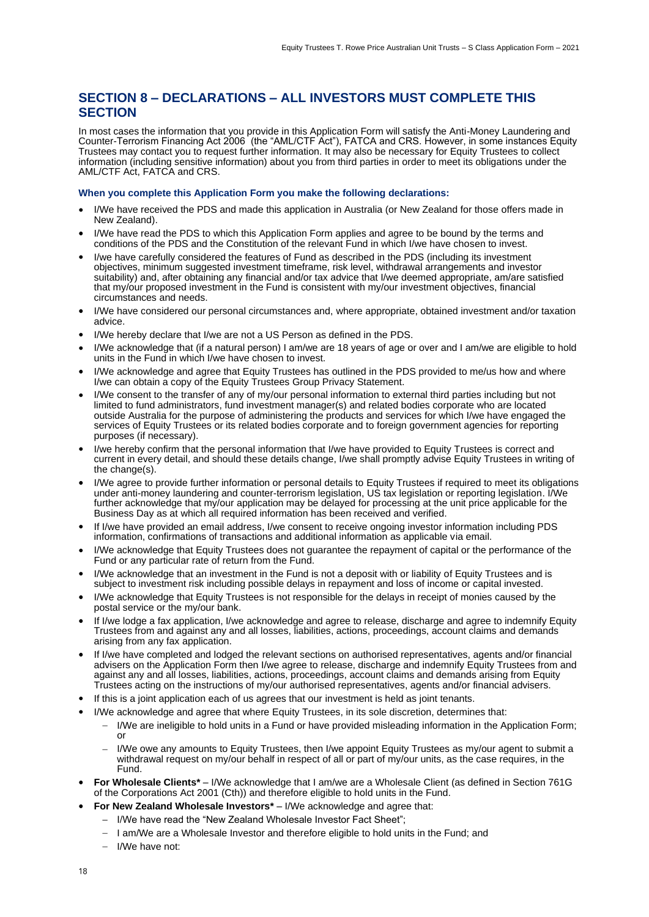#### **SECTION 8 – DECLARATIONS – ALL INVESTORS MUST COMPLETE THIS SECTION**

In most cases the information that you provide in this Application Form will satisfy the Anti-Money Laundering and Counter-Terrorism Financing Act 2006 (the "AML/CTF Act"), FATCA and CRS. However, in some instances Equity Trustees may contact you to request further information. It may also be necessary for Equity Trustees to collect information (including sensitive information) about you from third parties in order to meet its obligations under the AML/CTF Act, FATCA and CRS.

#### **When you complete this Application Form you make the following declarations:**

- I/We have received the PDS and made this application in Australia (or New Zealand for those offers made in New Zealand).
- I/We have read the PDS to which this Application Form applies and agree to be bound by the terms and conditions of the PDS and the Constitution of the relevant Fund in which I/we have chosen to invest.
- I/we have carefully considered the features of Fund as described in the PDS (including its investment objectives, minimum suggested investment timeframe, risk level, withdrawal arrangements and investor suitability) and, after obtaining any financial and/or tax advice that I/we deemed appropriate, am/are satisfied that my/our proposed investment in the Fund is consistent with my/our investment objectives, financial circumstances and needs.
- I/We have considered our personal circumstances and, where appropriate, obtained investment and/or taxation advice.
- I/We hereby declare that I/we are not a US Person as defined in the PDS.
- I/We acknowledge that (if a natural person) I am/we are 18 years of age or over and I am/we are eligible to hold units in the Fund in which I/we have chosen to invest.
- I/We acknowledge and agree that Equity Trustees has outlined in the PDS provided to me/us how and where I/we can obtain a copy of the Equity Trustees Group Privacy Statement.
- I/We consent to the transfer of any of my/our personal information to external third parties including but not limited to fund administrators, fund investment manager(s) and related bodies corporate who are located outside Australia for the purpose of administering the products and services for which I/we have engaged the services of Equity Trustees or its related bodies corporate and to foreign government agencies for reporting purposes (if necessary).
- I/we hereby confirm that the personal information that I/we have provided to Equity Trustees is correct and current in every detail, and should these details change, I/we shall promptly advise Equity Trustees in writing of the change(s).
- I/We agree to provide further information or personal details to Equity Trustees if required to meet its obligations under anti-money laundering and counter-terrorism legislation, US tax legislation or reporting legislation. I/We further acknowledge that my/our application may be delayed for processing at the unit price applicable for the Business Day as at which all required information has been received and verified.
- If I/we have provided an email address, I/we consent to receive ongoing investor information including PDS information, confirmations of transactions and additional information as applicable via email.
- I/We acknowledge that Equity Trustees does not guarantee the repayment of capital or the performance of the Fund or any particular rate of return from the Fund.
- I/We acknowledge that an investment in the Fund is not a deposit with or liability of Equity Trustees and is subject to investment risk including possible delays in repayment and loss of income or capital invested.
- I/We acknowledge that Equity Trustees is not responsible for the delays in receipt of monies caused by the postal service or the my/our bank.
- If I/we lodge a fax application, I/we acknowledge and agree to release, discharge and agree to indemnify Equity Trustees from and against any and all losses, liabilities, actions, proceedings, account claims and demands arising from any fax application.
- If I/we have completed and lodged the relevant sections on authorised representatives, agents and/or financial advisers on the Application Form then I/we agree to release, discharge and indemnify Equity Trustees from and against any and all losses, liabilities, actions, proceedings, account claims and demands arising from Equity Trustees acting on the instructions of my/our authorised representatives, agents and/or financial advisers.
- If this is a joint application each of us agrees that our investment is held as joint tenants.
- I/We acknowledge and agree that where Equity Trustees, in its sole discretion, determines that:
	- I/We are ineligible to hold units in a Fund or have provided misleading information in the Application Form; or
	- $\overline{\phantom{a}}$ I/We owe any amounts to Equity Trustees, then I/we appoint Equity Trustees as my/our agent to submit a withdrawal request on my/our behalf in respect of all or part of my/our units, as the case requires, in the Fund.
- **For Wholesale Clients\*** I/We acknowledge that I am/we are a Wholesale Client (as defined in Section 761G of the Corporations Act 2001 (Cth)) and therefore eligible to hold units in the Fund.
- **For New Zealand Wholesale Investors\*** I/We acknowledge and agree that:
	- I/We have read the "New Zealand Wholesale Investor Fact Sheet";
	- $-$  I am/We are a Wholesale Investor and therefore eligible to hold units in the Fund; and
	- $-$  I/We have not: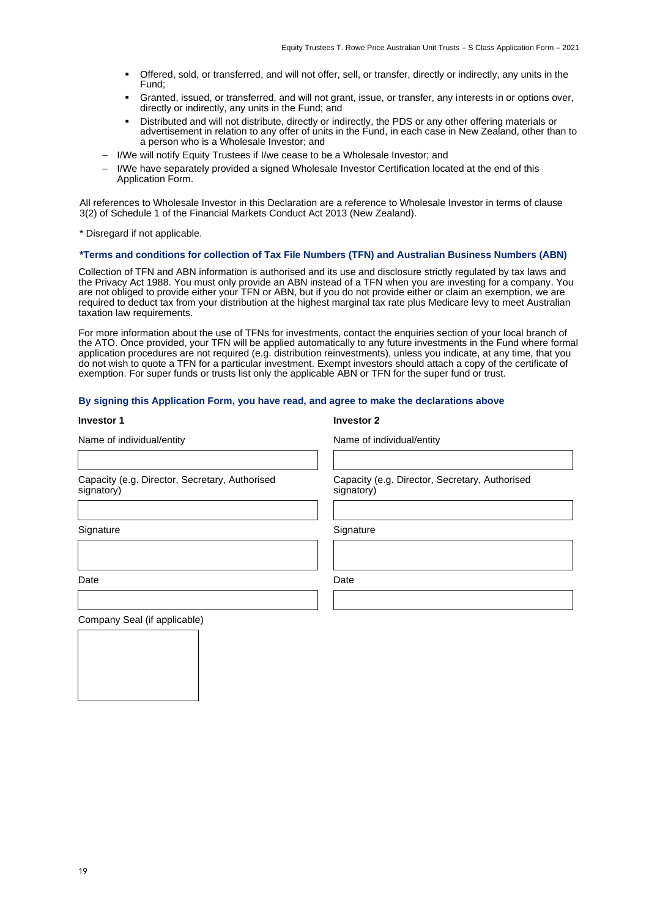Capacity (e.g. Director, Secretary, Authorised

- Offered, sold, or transferred, and will not offer, sell, or transfer, directly or indirectly, any units in the Fund;
- Granted, issued, or transferred, and will not grant, issue, or transfer, any interests in or options over, directly or indirectly, any units in the Fund; and
- Distributed and will not distribute, directly or indirectly, the PDS or any other offering materials or advertisement in relation to any offer of units in the Fund, in each case in New Zealand, other than to a person who is a Wholesale Investor; and
- I/We will notify Equity Trustees if I/we cease to be a Wholesale Investor; and
- I/We have separately provided a signed Wholesale Investor Certification located at the end of this Application Form.

All references to Wholesale Investor in this Declaration are a reference to Wholesale Investor in terms of clause 3(2) of Schedule 1 of the Financial Markets Conduct Act 2013 (New Zealand).

\* Disregard if not applicable.

#### **\*Terms and conditions for collection of Tax File Numbers (TFN) and Australian Business Numbers (ABN)**

Collection of TFN and ABN information is authorised and its use and disclosure strictly regulated by tax laws and the Privacy Act 1988. You must only provide an ABN instead of a TFN when you are investing for a company. You are not obliged to provide either your TFN or ABN, but if you do not provide either or claim an exemption, we are required to deduct tax from your distribution at the highest marginal tax rate plus Medicare levy to meet Australian taxation law requirements.

For more information about the use of TFNs for investments, contact the enquiries section of your local branch of the ATO. Once provided, your TFN will be applied automatically to any future investments in the Fund where formal application procedures are not required (e.g. distribution reinvestments), unless you indicate, at any time, that you do not wish to quote a TFN for a particular investment. Exempt investors should attach a copy of the certificate of exemption. For super funds or trusts list only the applicable ABN or TFN for the super fund or trust.

#### **By signing this Application Form, you have read, and agree to make the declarations above**

| <b>Investor 1</b> | <b>Investor 2</b> |
|-------------------|-------------------|
|                   |                   |

| <b>Investo</b> |  |  |  |
|----------------|--|--|--|
|                |  |  |  |

signatory)

Name of individual/entity Name of individual/entity

Capacity (e.g. Director, Secretary, Authorised signatory)

Signature Signature Signature Signature Signature

Date **Date** Date **Date** Date **Date** 

Company Seal (if applicable)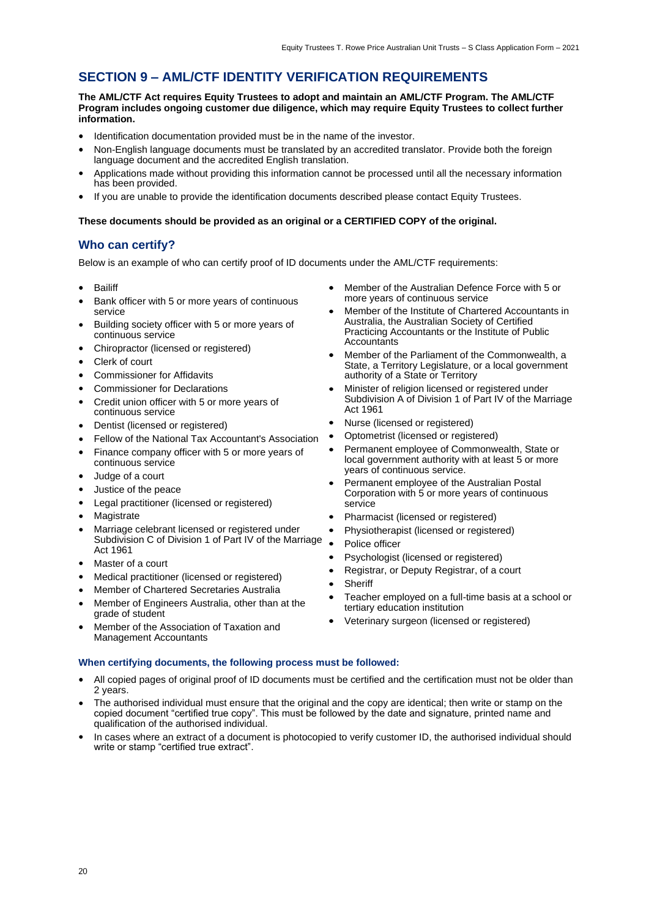### **SECTION 9 – AML/CTF IDENTITY VERIFICATION REQUIREMENTS**

**The AML/CTF Act requires Equity Trustees to adopt and maintain an AML/CTF Program. The AML/CTF Program includes ongoing customer due diligence, which may require Equity Trustees to collect further information.**

- Identification documentation provided must be in the name of the investor.
- Non-English language documents must be translated by an accredited translator. Provide both the foreign language document and the accredited English translation.
- Applications made without providing this information cannot be processed until all the necessary information has been provided.
- If you are unable to provide the identification documents described please contact Equity Trustees.

#### **These documents should be provided as an original or a CERTIFIED COPY of the original.**

#### **Who can certify?**

Below is an example of who can certify proof of ID documents under the AML/CTF requirements:

- Bailiff
- Bank officer with 5 or more years of continuous service
- Building society officer with 5 or more years of continuous service
- Chiropractor (licensed or registered)
- Clerk of court
- Commissioner for Affidavits
- Commissioner for Declarations
- Credit union officer with 5 or more years of continuous service
- Dentist (licensed or registered)
- Fellow of the National Tax Accountant's Association
- Finance company officer with 5 or more years of
- continuous service Judge of a court
- 
- Justice of the peace
- Legal practitioner (licensed or registered)
- **Magistrate**
- Marriage celebrant licensed or registered under Subdivision C of Division 1 of Part IV of the Marriage Act 1961
- Master of a court
- Medical practitioner (licensed or registered)
- Member of Chartered Secretaries Australia
- Member of Engineers Australia, other than at the grade of student
- Member of the Association of Taxation and Management Accountants

#### **When certifying documents, the following process must be followed:**

- All copied pages of original proof of ID documents must be certified and the certification must not be older than 2 years.
- The authorised individual must ensure that the original and the copy are identical; then write or stamp on the copied document "certified true copy". This must be followed by the date and signature, printed name and qualification of the authorised individual.
- In cases where an extract of a document is photocopied to verify customer ID, the authorised individual should write or stamp "certified true extract".
- Member of the Australian Defence Force with 5 or more years of continuous service
- Member of the Institute of Chartered Accountants in Australia, the Australian Society of Certified Practicing Accountants or the Institute of Public **Accountants**
- Member of the Parliament of the Commonwealth, a State, a Territory Legislature, or a local government authority of a State or Territory
- Minister of religion licensed or registered under Subdivision A of Division 1 of Part IV of the Marriage Act 1961
- Nurse (licensed or registered)
- Optometrist (licensed or registered)
- Permanent employee of Commonwealth, State or local government authority with at least 5 or more years of continuous service.
- Permanent employee of the Australian Postal Corporation with 5 or more years of continuous service
- Pharmacist (licensed or registered)
- Physiotherapist (licensed or registered)
- Police officer
- Psychologist (licensed or registered)
- Registrar, or Deputy Registrar, of a court
- **Sheriff**
- Teacher employed on a full-time basis at a school or tertiary education institution
- Veterinary surgeon (licensed or registered)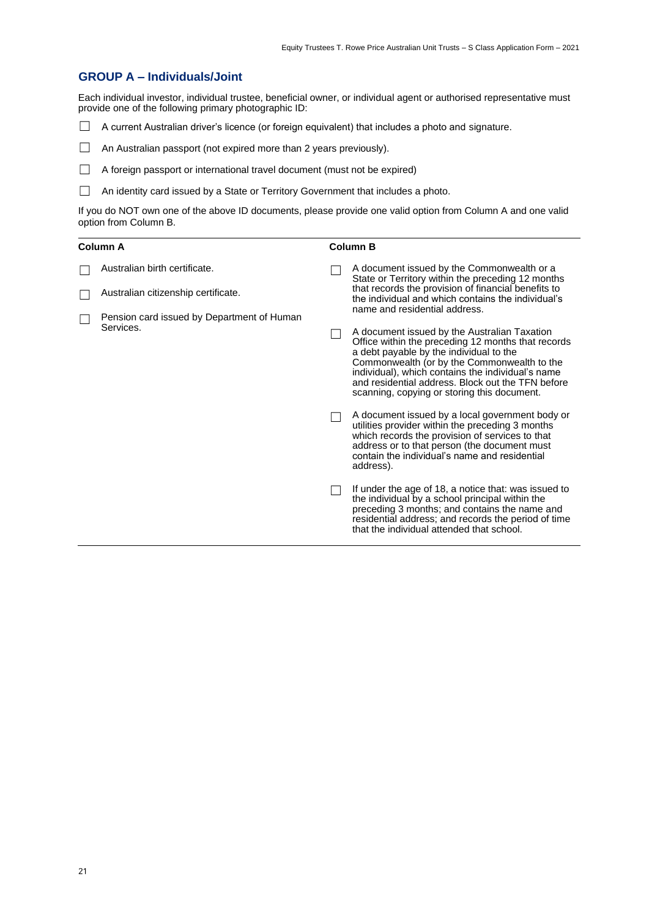#### **GROUP A – Individuals/Joint**

Each individual investor, individual trustee, beneficial owner, or individual agent or authorised representative must provide one of the following primary photographic ID:

☐ A current Australian driver's licence (or foreign equivalent) that includes a photo and signature.

□ An Australian passport (not expired more than 2 years previously).

- □ A foreign passport or international travel document (must not be expired)
- □ An identity card issued by a State or Territory Government that includes a photo.

If you do NOT own one of the above ID documents, please provide one valid option from Column A and one valid option from Column B.

| Column A |                                                         | <b>Column B</b> |                                                                                                                                                                                                                                                                                                                                                       |  |
|----------|---------------------------------------------------------|-----------------|-------------------------------------------------------------------------------------------------------------------------------------------------------------------------------------------------------------------------------------------------------------------------------------------------------------------------------------------------------|--|
|          | Australian birth certificate.                           |                 | A document issued by the Commonwealth or a<br>State or Territory within the preceding 12 months                                                                                                                                                                                                                                                       |  |
|          | Australian citizenship certificate.                     |                 | that records the provision of financial benefits to<br>the individual and which contains the individual's                                                                                                                                                                                                                                             |  |
|          | Pension card issued by Department of Human<br>Services. |                 | name and residential address.                                                                                                                                                                                                                                                                                                                         |  |
|          |                                                         |                 | A document issued by the Australian Taxation<br>Office within the preceding 12 months that records<br>a debt payable by the individual to the<br>Commonwealth (or by the Commonwealth to the<br>individual), which contains the individual's name<br>and residential address. Block out the TFN before<br>scanning, copying or storing this document. |  |
|          |                                                         |                 | A document issued by a local government body or<br>utilities provider within the preceding 3 months<br>which records the provision of services to that<br>address or to that person (the document must<br>contain the individual's name and residential<br>address).                                                                                  |  |
|          |                                                         |                 | If under the age of 18, a notice that: was issued to<br>the individual by a school principal within the<br>preceding 3 months; and contains the name and<br>residential address; and records the period of time<br>that the individual attended that school.                                                                                          |  |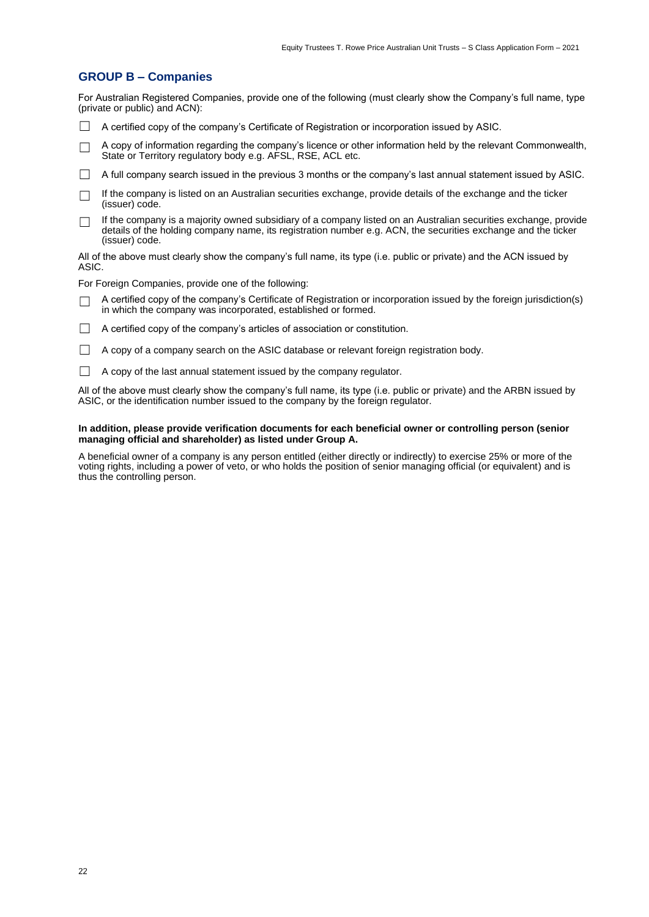#### **GROUP B – Companies**

For Australian Registered Companies, provide one of the following (must clearly show the Company's full name, type (private or public) and ACN):

- $\Box$  A certified copy of the company's Certificate of Registration or incorporation issued by ASIC.
- $\Box$  A copy of information regarding the company's licence or other information held by the relevant Commonwealth, State or Territory regulatory body e.g. AFSL, RSE, ACL etc.
- $\Box$  A full company search issued in the previous 3 months or the company's last annual statement issued by ASIC.
- □ If the company is listed on an Australian securities exchange, provide details of the exchange and the ticker (issuer) code.
- $\Box$  If the company is a majority owned subsidiary of a company listed on an Australian securities exchange, provide details of the holding company name, its registration number e.g. ACN, the securities exchange and the ticker (issuer) code.

All of the above must clearly show the company's full name, its type (i.e. public or private) and the ACN issued by ASIC.

For Foreign Companies, provide one of the following:

- A certified copy of the company's Certificate of Registration or incorporation issued by the foreign jurisdiction(s) in which the company was incorporated, established or formed.
- $\Box$  A certified copy of the company's articles of association or constitution.
- $\Box$  A copy of a company search on the ASIC database or relevant foreign registration body.
- $\Box$  A copy of the last annual statement issued by the company regulator.

All of the above must clearly show the company's full name, its type (i.e. public or private) and the ARBN issued by ASIC, or the identification number issued to the company by the foreign regulator.

#### **In addition, please provide verification documents for each beneficial owner or controlling person (senior managing official and shareholder) as listed under Group A.**

A beneficial owner of a company is any person entitled (either directly or indirectly) to exercise 25% or more of the voting rights, including a power of veto, or who holds the position of senior managing official (or equivalent) and is thus the controlling person.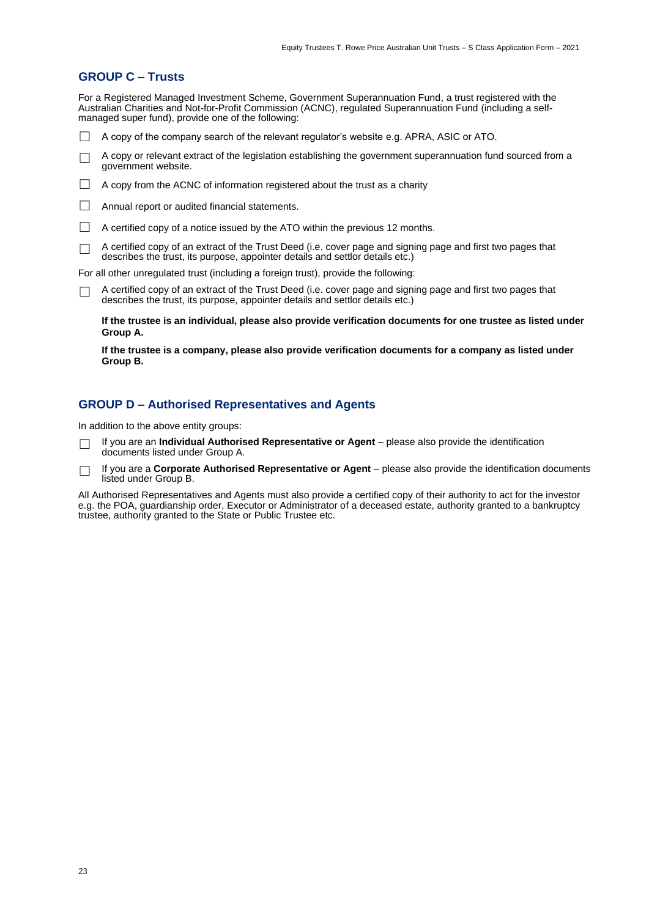#### **GROUP C – Trusts**

For a Registered Managed Investment Scheme, Government Superannuation Fund, a trust registered with the Australian Charities and Not-for-Profit Commission (ACNC), regulated Superannuation Fund (including a selfmanaged super fund), provide one of the following:

- ☐ A copy of the company search of the relevant regulator's website e.g. APRA, ASIC or ATO.
- ☐ A copy or relevant extract of the legislation establishing the government superannuation fund sourced from a government website.
- $\Box$  A copy from the ACNC of information registered about the trust as a charity
- □ Annual report or audited financial statements.
- $\Box$  A certified copy of a notice issued by the ATO within the previous 12 months.
- ☐ A certified copy of an extract of the Trust Deed (i.e. cover page and signing page and first two pages that describes the trust, its purpose, appointer details and settlor details etc.)

For all other unregulated trust (including a foreign trust), provide the following:

□ A certified copy of an extract of the Trust Deed (i.e. cover page and signing page and first two pages that describes the trust, its purpose, appointer details and settlor details etc.)

**If the trustee is an individual, please also provide verification documents for one trustee as listed under Group A.**

**If the trustee is a company, please also provide verification documents for a company as listed under Group B.**

#### **GROUP D – Authorised Representatives and Agents**

In addition to the above entity groups:

- ☐ If you are an **Individual Authorised Representative or Agent** please also provide the identification documents listed under Group A.
- ☐ If you are a **Corporate Authorised Representative or Agent** please also provide the identification documents listed under Group B.

All Authorised Representatives and Agents must also provide a certified copy of their authority to act for the investor e.g. the POA, guardianship order, Executor or Administrator of a deceased estate, authority granted to a bankruptcy trustee, authority granted to the State or Public Trustee etc.